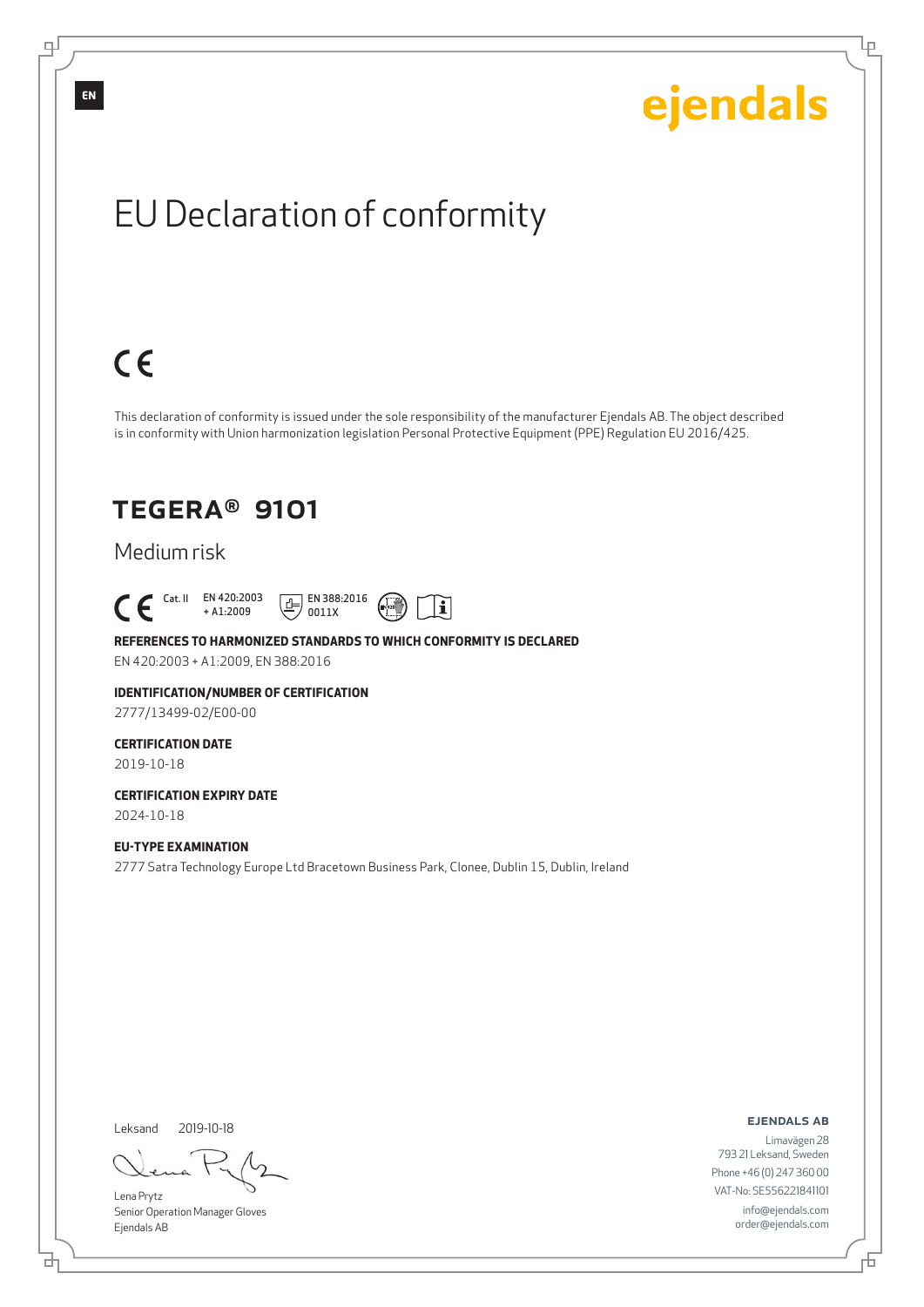Ļμ

## EU Declaration of conformity

## $C \in$

This declaration of conformity is issued under the sole responsibility of the manufacturer Ejendals AB. The object described is in conformity with Union harmonization legislation Personal Protective Equipment (PPE) Regulation EU 2016/425.

## TEGERA® 9101

### Medium risk

 Cat. II EN 420:2003 + A1:2009





#### **REFERENCES TO HARMONIZED STANDARDS TO WHICH CONFORMITY IS DECLARED**

EN 420:2003 + A1:2009, EN 388:2016

#### **IDENTIFICATION/NUMBER OF CERTIFICATION**

2777/13499-02/E00-00

#### **CERTIFICATION DATE** 2019-10-18

### **CERTIFICATION EXPIRY DATE** 2024-10-18

**EU-TYPE EXAMINATION** 2777 Satra Technology Europe Ltd Bracetown Business Park, Clonee, Dublin 15, Dublin, Ireland

Leksand 2019-10-18

<u>다</u>

Lena Prytz Senior Operation Manager Gloves Ejendals AB

#### ejendals ab

Đ

Limavägen 28 793 21 Leksand, Sweden Phone +46 (0) 247 360 00 VAT-No: SE556221841101 info@ejendals.com order@ejendals.com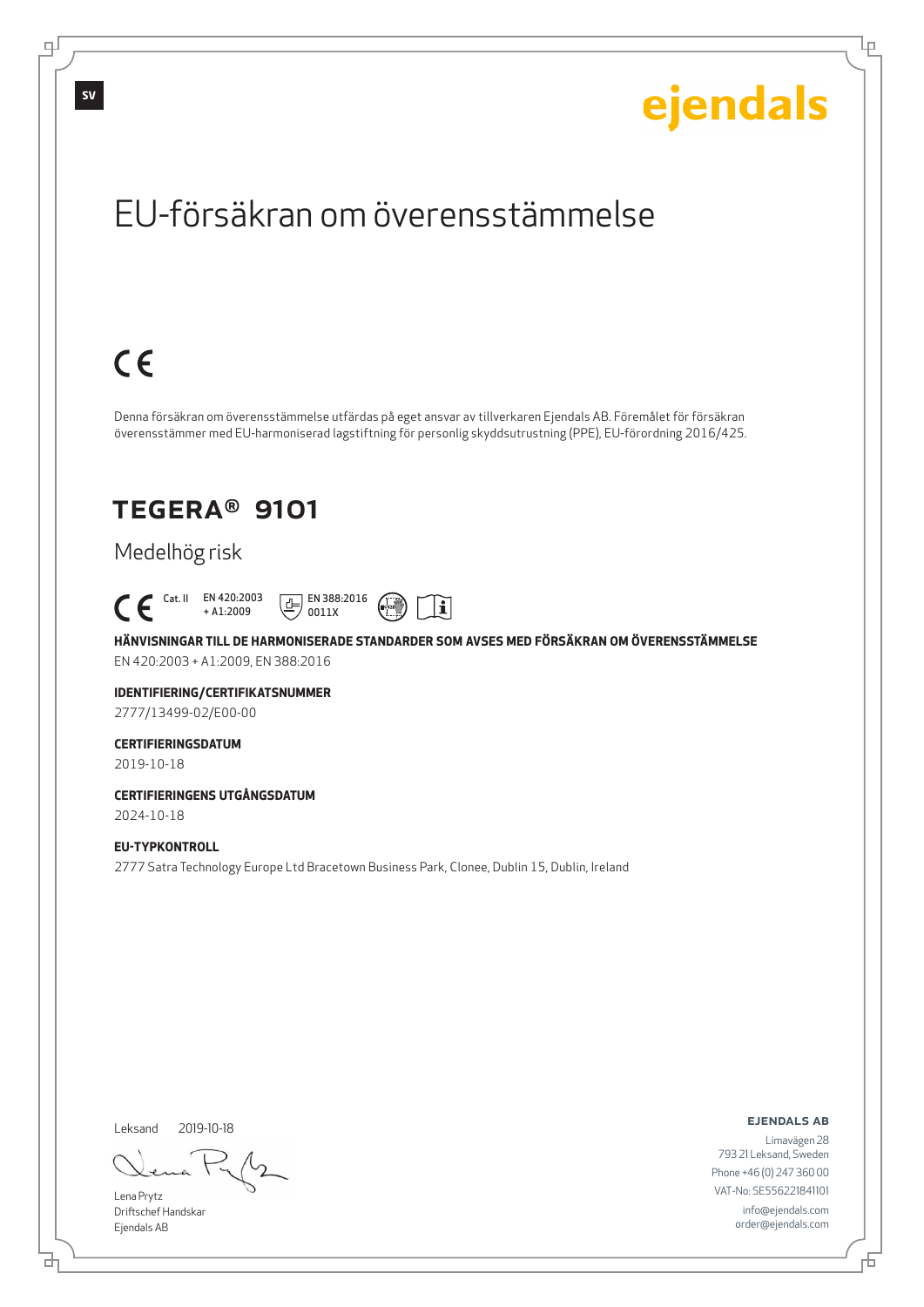Lρ

## EU-försäkran om överensstämmelse

## $C \in$

Denna försäkran om överensstämmelse utfärdas på eget ansvar av tillverkaren Ejendals AB. Föremålet för försäkran överensstämmer med EU-harmoniserad lagstiftning för personlig skyddsutrustning (PPE), EU-förordning 2016/425.

## TEGERA® 9101

## Medelhög risk



**HÄNVISNINGAR TILL DE HARMONISERADE STANDARDER SOM AVSES MED FÖRSÄKRAN OM ÖVERENSSTÄMMELSE** EN 420:2003 + A1:2009, EN 388:2016

 $\mathbf i$ 

## **IDENTIFIERING/CERTIFIKATSNUMMER**

2777/13499-02/E00-00

### **CERTIFIERINGSDATUM**

2019-10-18

### **CERTIFIERINGENS UTGÅNGSDATUM** 2024-10-18

**EU-TYPKONTROLL**

2777 Satra Technology Europe Ltd Bracetown Business Park, Clonee, Dublin 15, Dublin, Ireland

Leksand 2019-10-18

Lena Prytz Driftschef Handskar Ejendals AB

<u>다</u>

ejendals ab

Đ

Limavägen 28 793 21 Leksand, Sweden Phone +46 (0) 247 360 00 VAT-No: SE556221841101 info@ejendals.com order@ejendals.com

டி

**SV**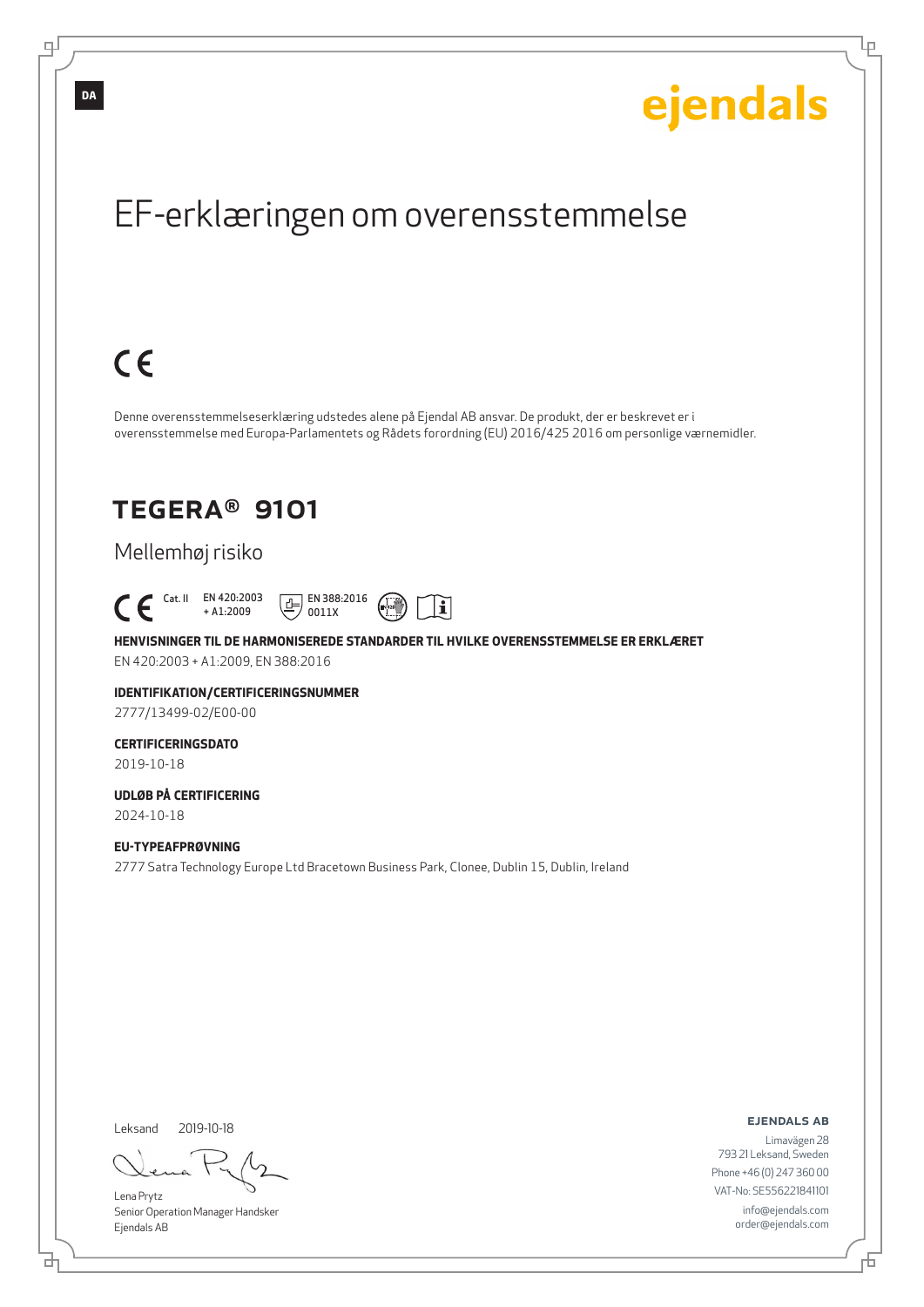Ļμ

## EF-erklæringen om overensstemmelse

## $C \in$

Denne overensstemmelseserklæring udstedes alene på Ejendal AB ansvar. De produkt, der er beskrevet er i overensstemmelse med Europa-Parlamentets og Rådets forordning (EU) 2016/425 2016 om personlige værnemidler.

## TEGERA® 9101

## Mellemhøj risiko

 Cat. II EN 420:2003 + A1:2009



**HENVISNINGER TIL DE HARMONISEREDE STANDARDER TIL HVILKE OVERENSSTEMMELSE ER ERKLÆRET** EN 420:2003 + A1:2009, EN 388:2016

**IDENTIFIKATION/CERTIFICERINGSNUMMER**

2777/13499-02/E00-00

#### **CERTIFICERINGSDATO** 2019-10-18

**UDLØB PÅ CERTIFICERING**

2024-10-18

### **EU-TYPEAFPRØVNING**

2777 Satra Technology Europe Ltd Bracetown Business Park, Clonee, Dublin 15, Dublin, Ireland

Leksand 2019-10-18

브

Lena Prytz Senior Operation Manager Handsker Ejendals AB

ejendals ab

Đ

Limavägen 28 793 21 Leksand, Sweden Phone +46 (0) 247 360 00 VAT-No: SE556221841101 info@ejendals.com order@ejendals.com

டி

**DA**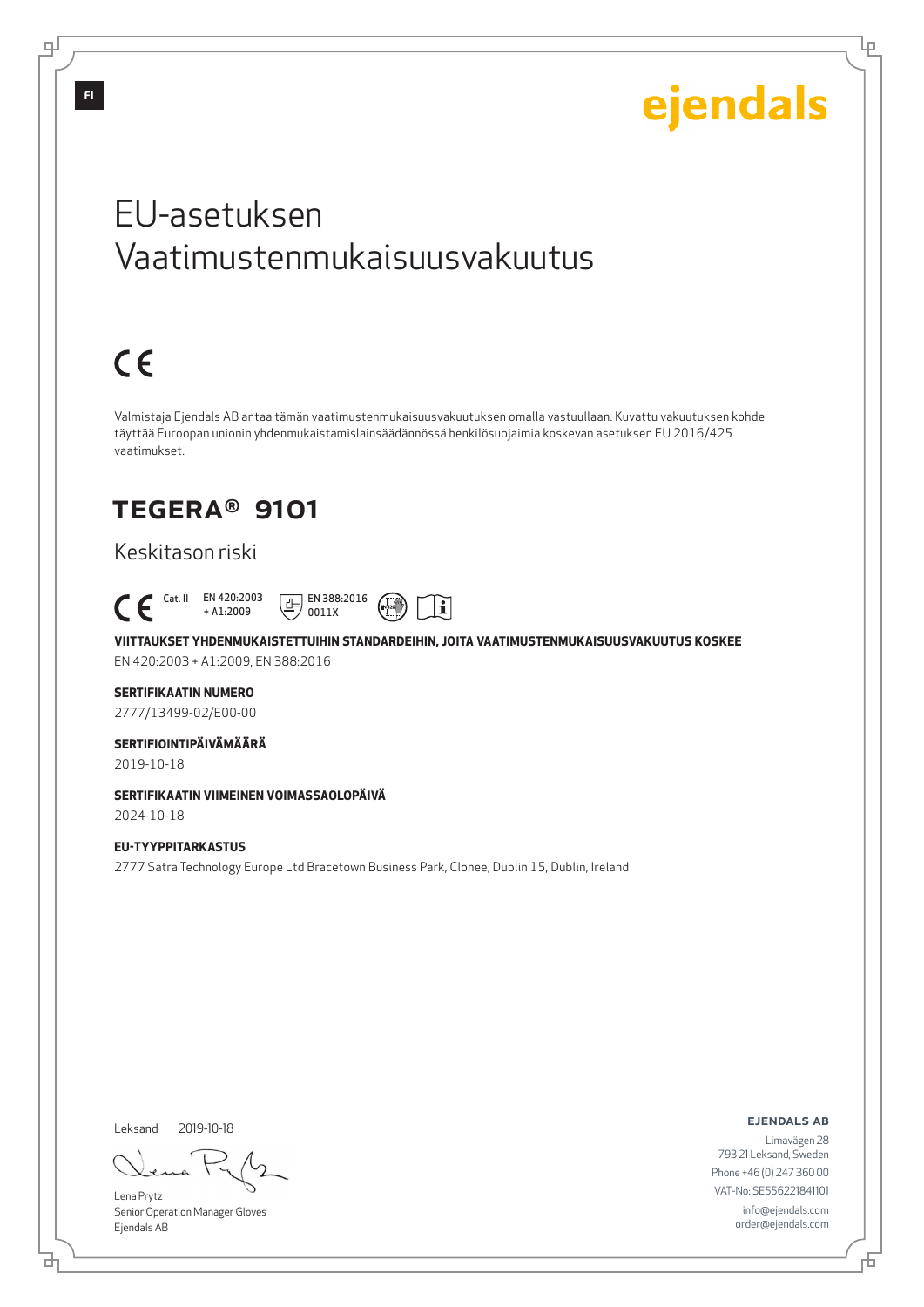Lμ

## EU-asetuksen Vaatimustenmukaisuusvakuutus

# $C \in$

Valmistaja Ejendals AB antaa tämän vaatimustenmukaisuusvakuutuksen omalla vastuullaan. Kuvattu vakuutuksen kohde täyttää Euroopan unionin yhdenmukaistamislainsäädännössä henkilösuojaimia koskevan asetuksen EU 2016/425 vaatimukset.

## TEGERA® 9101

## Keskitason riski



**VIITTAUKSET YHDENMUKAISTETTUIHIN STANDARDEIHIN, JOITA VAATIMUSTENMUKAISUUSVAKUUTUS KOSKEE** EN 420:2003 + A1:2009, EN 388:2016

### **SERTIFIKAATIN NUMERO**

2777/13499-02/E00-00

### **SERTIFIOINTIPÄIVÄMÄÄRÄ**

2019-10-18

### **SERTIFIKAATIN VIIMEINEN VOIMASSAOLOPÄIVÄ** 2024-10-18

**EU-TYYPPITARKASTUS** 2777 Satra Technology Europe Ltd Bracetown Business Park, Clonee, Dublin 15, Dublin, Ireland

Leksand 2019-10-18

Lena Prytz Senior Operation Manager Gloves Ejendals AB

ejendals ab

Đ

Limavägen 28 793 21 Leksand, Sweden Phone +46 (0) 247 360 00 VAT-No: SE556221841101 info@ejendals.com order@ejendals.com

டி

브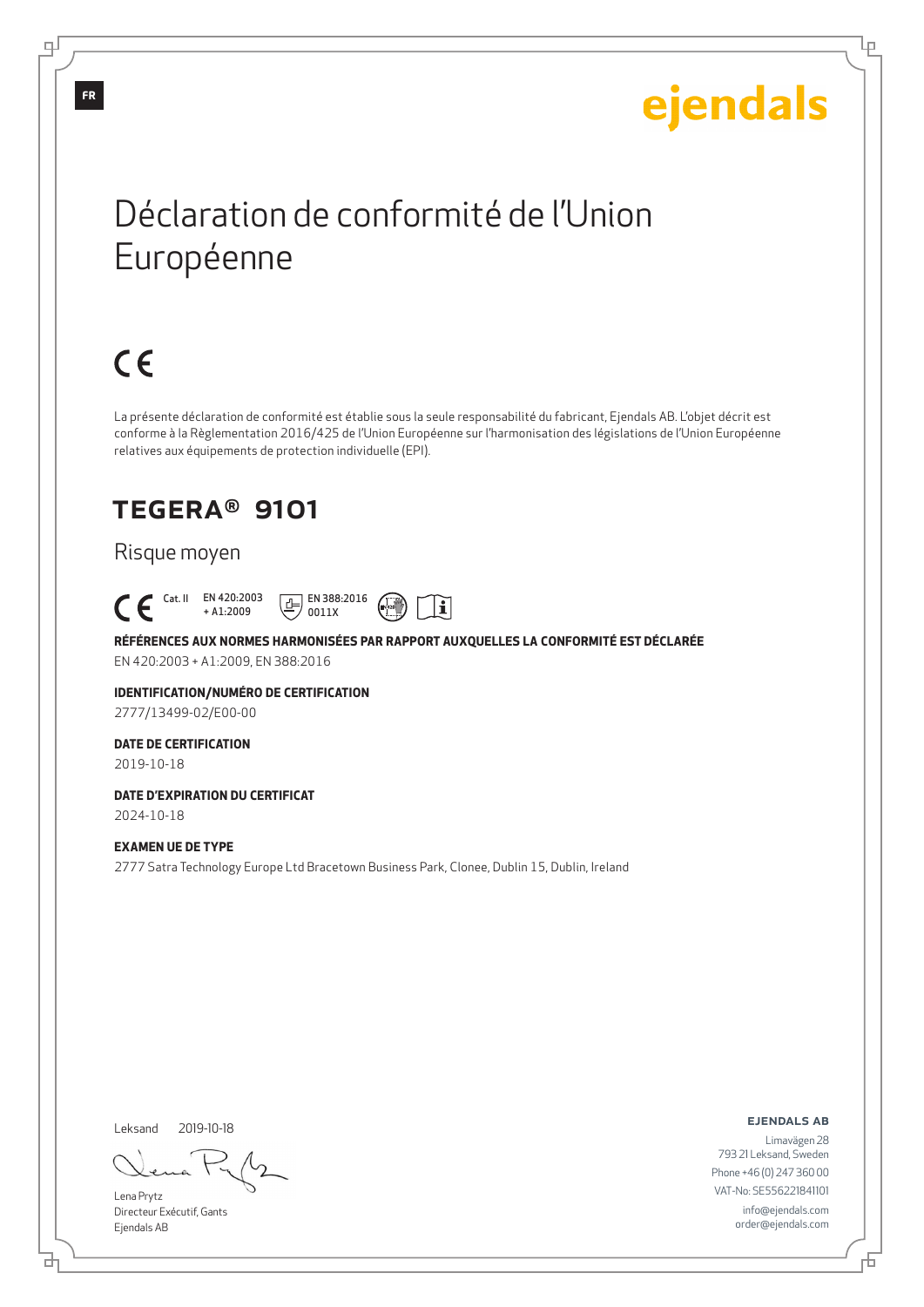Ļμ

## Déclaration de conformité de l'Union Européenne

# $C \in$

La présente déclaration de conformité est établie sous la seule responsabilité du fabricant, Ejendals AB. L'objet décrit est conforme à la Règlementation 2016/425 de l'Union Européenne sur l'harmonisation des législations de l'Union Européenne relatives aux équipements de protection individuelle (EPI).

i

## TEGERA® 9101

### Risque moyen



**RÉFÉRENCES AUX NORMES HARMONISÉES PAR RAPPORT AUXQUELLES LA CONFORMITÉ EST DÉCLARÉE**

EN 420:2003 + A1:2009, EN 388:2016

### **IDENTIFICATION/NUMÉRO DE CERTIFICATION**

2777/13499-02/E00-00

### **DATE DE CERTIFICATION**

2019-10-18

#### **DATE D'EXPIRATION DU CERTIFICAT** 2024-10-18

### **EXAMEN UE DE TYPE**

2777 Satra Technology Europe Ltd Bracetown Business Park, Clonee, Dublin 15, Dublin, Ireland

Leksand 2019-10-18

Lena Prytz Directeur Exécutif, Gants Ejendals AB

#### ejendals ab

Limavägen 28 793 21 Leksand, Sweden Phone +46 (0) 247 360 00 VAT-No: SE556221841101 info@ejendals.com order@ejendals.com

டி

**FR**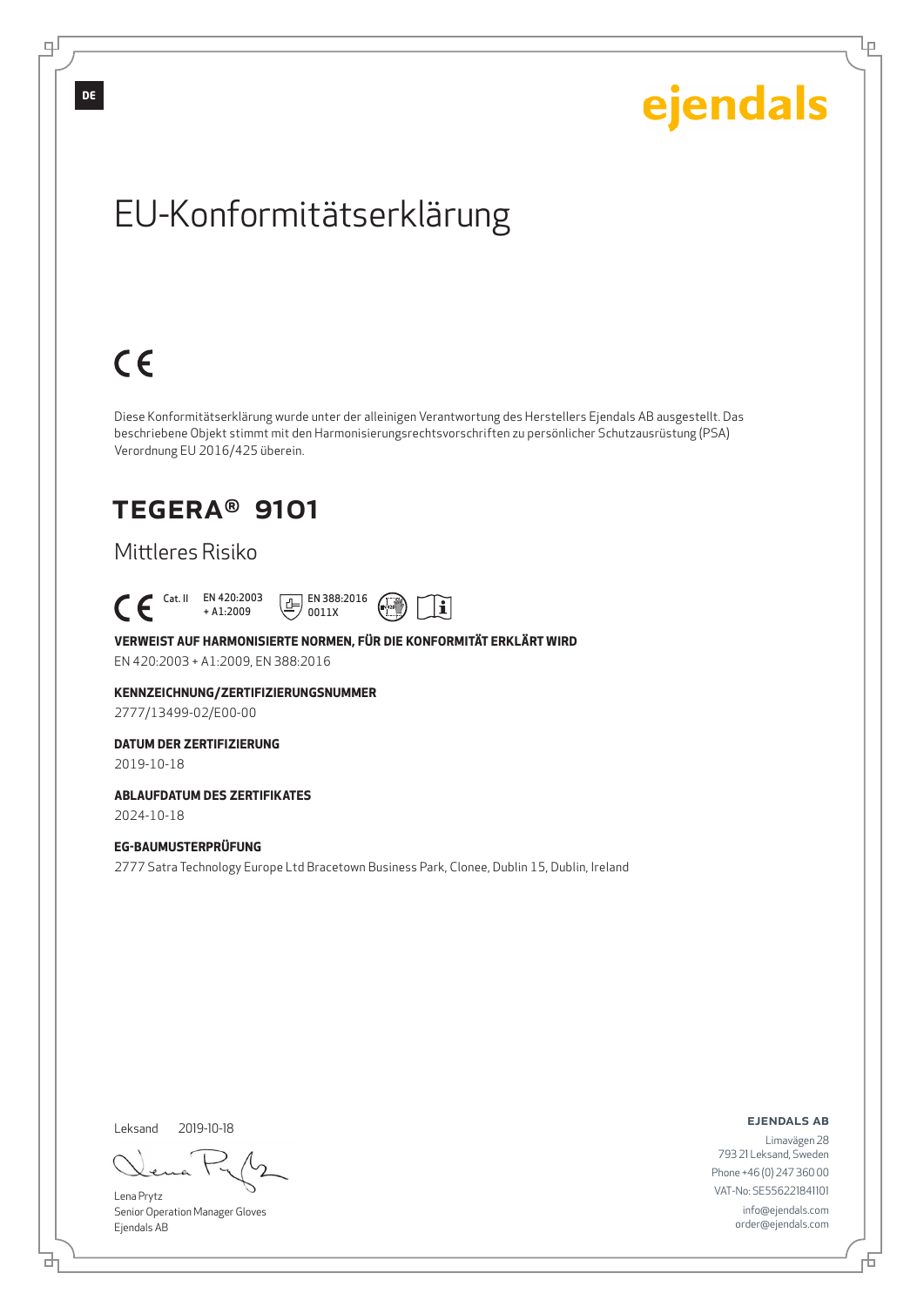Ļμ

## EU-Konformitätserklärung

# $C \in$

Diese Konformitätserklärung wurde unter der alleinigen Verantwortung des Herstellers Ejendals AB ausgestellt. Das beschriebene Objekt stimmt mit den Harmonisierungsrechtsvorschriften zu persönlicher Schutzausrüstung (PSA) Verordnung EU 2016/425 überein.

## TEGERA® 9101

## Mittleres Risiko

### Cat. II EN 420:2003 + A1:2009



 $\boxed{E}$  EN 388:2016 0011X

EN 420:2003 + A1:2009, EN 388:2016

#### **KENNZEICHNUNG/ZERTIFIZIERUNGSNUMMER**

2777/13499-02/E00-00

### **DATUM DER ZERTIFIZIERUNG**

2019-10-18

### **ABLAUFDATUM DES ZERTIFIKATES** 2024-10-18

### **EG-BAUMUSTERPRÜFUNG**

2777 Satra Technology Europe Ltd Bracetown Business Park, Clonee, Dublin 15, Dublin, Ireland

Leksand 2019-10-18

브

Lena Prytz Senior Operation Manager Gloves Ejendals AB

#### ejendals ab

Đ

Limavägen 28 793 21 Leksand, Sweden Phone +46 (0) 247 360 00 VAT-No: SE556221841101 info@ejendals.com order@ejendals.com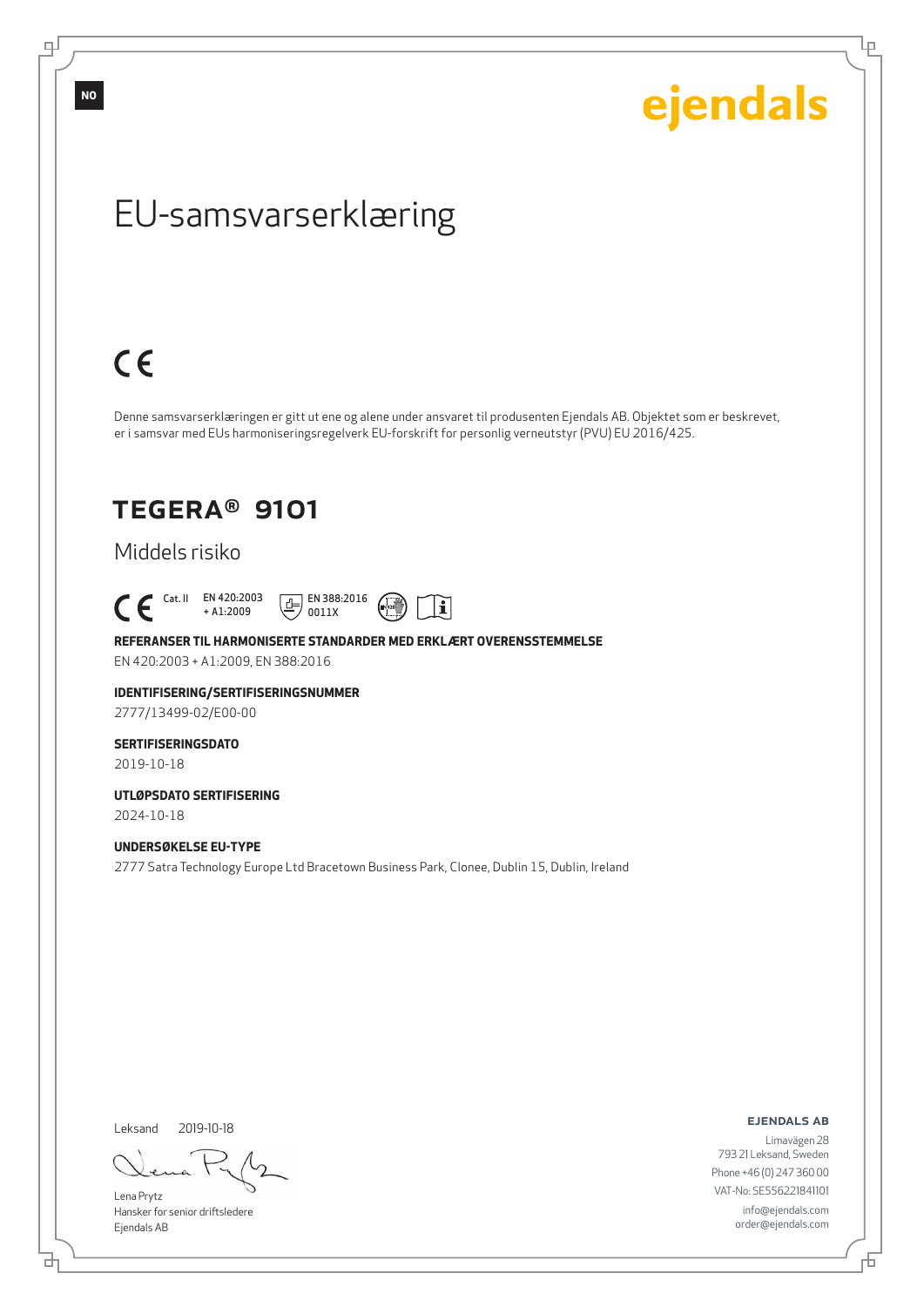ejendals

Ļμ

## EU-samsvarserklæring

## $C \in$

Denne samsvarserklæringen er gitt ut ene og alene under ansvaret til produsenten Ejendals AB. Objektet som er beskrevet, er i samsvar med EUs harmoniseringsregelverk EU-forskrift for personlig verneutstyr (PVU) EU 2016/425.

## TEGERA® 9101

### Middels risiko

 Cat. II EN 420:2003 + A1:2009





#### **REFERANSER TIL HARMONISERTE STANDARDER MED ERKLÆRT OVERENSSTEMMELSE**

EN 420:2003 + A1:2009, EN 388:2016

#### **IDENTIFISERING/SERTIFISERINGSNUMMER**

2777/13499-02/E00-00

## **SERTIFISERINGSDATO**

2019-10-18

#### **UTLØPSDATO SERTIFISERING** 2024-10-18

**UNDERSØKELSE EU-TYPE**

2777 Satra Technology Europe Ltd Bracetown Business Park, Clonee, Dublin 15, Dublin, Ireland

Leksand 2019-10-18

Lena Prytz Hansker for senior driftsledere Ejendals AB

ejendals ab

Limavägen 28 793 21 Leksand, Sweden Phone +46 (0) 247 360 00 VAT-No: SE556221841101 info@ejendals.com order@ejendals.com

舌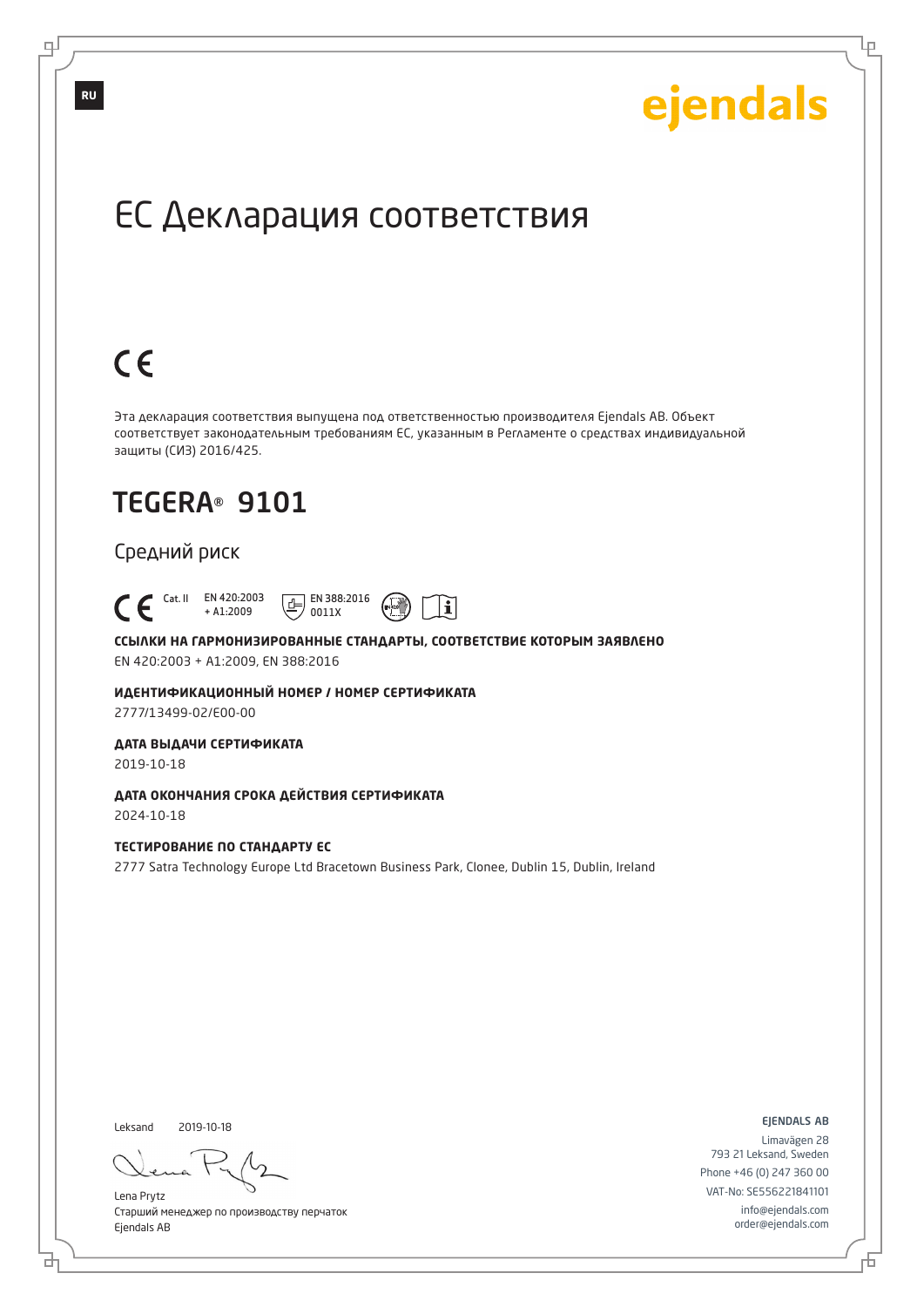Ļμ

## ЕС Декларация соответствия

# $C \in$

Эта декларация соответствия выпущена под ответственностью производителя Ejendals AB. Объект соответствует законодательным требованиям ЕС, указанным в Регламенте о средствах индивидуальной защиты (СИЗ) 2016/425.

## TEGERA® 9101

### Средний риск



**ССЫЛКИ НА ГАРМОНИЗИРОВАННЫЕ СТАНДАРТЫ, СООТВЕТСТВИЕ КОТОРЫМ ЗАЯВЛЕНО** EN 420:2003 + A1:2009, EN 388:2016

**ИДЕНТИФИКАЦИОННЫЙ НОМЕР / НОМЕР СЕРТИФИКАТА**

2777/13499-02/E00-00

## **ДАТА ВЫДАЧИ СЕРТИФИКАТА**

2019-10-18

**ДАТА ОКОНЧАНИЯ СРОКА ДЕЙСТВИЯ СЕРТИФИКАТА** 2024-10-18

### **ТЕСТИРОВАНИЕ ПО СТАНДАРТУ ЕС**

2777 Satra Technology Europe Ltd Bracetown Business Park, Clonee, Dublin 15, Dublin, Ireland

Leksand 2019-10-18

브

Lena Prytz Старший менеджер по производству перчаток Ejendals AB

ejendals ab

舌

Limavägen 28 793 21 Leksand, Sweden Phone +46 (0) 247 360 00 VAT-No: SE556221841101 info@ejendals.com order@ejendals.com

**RU**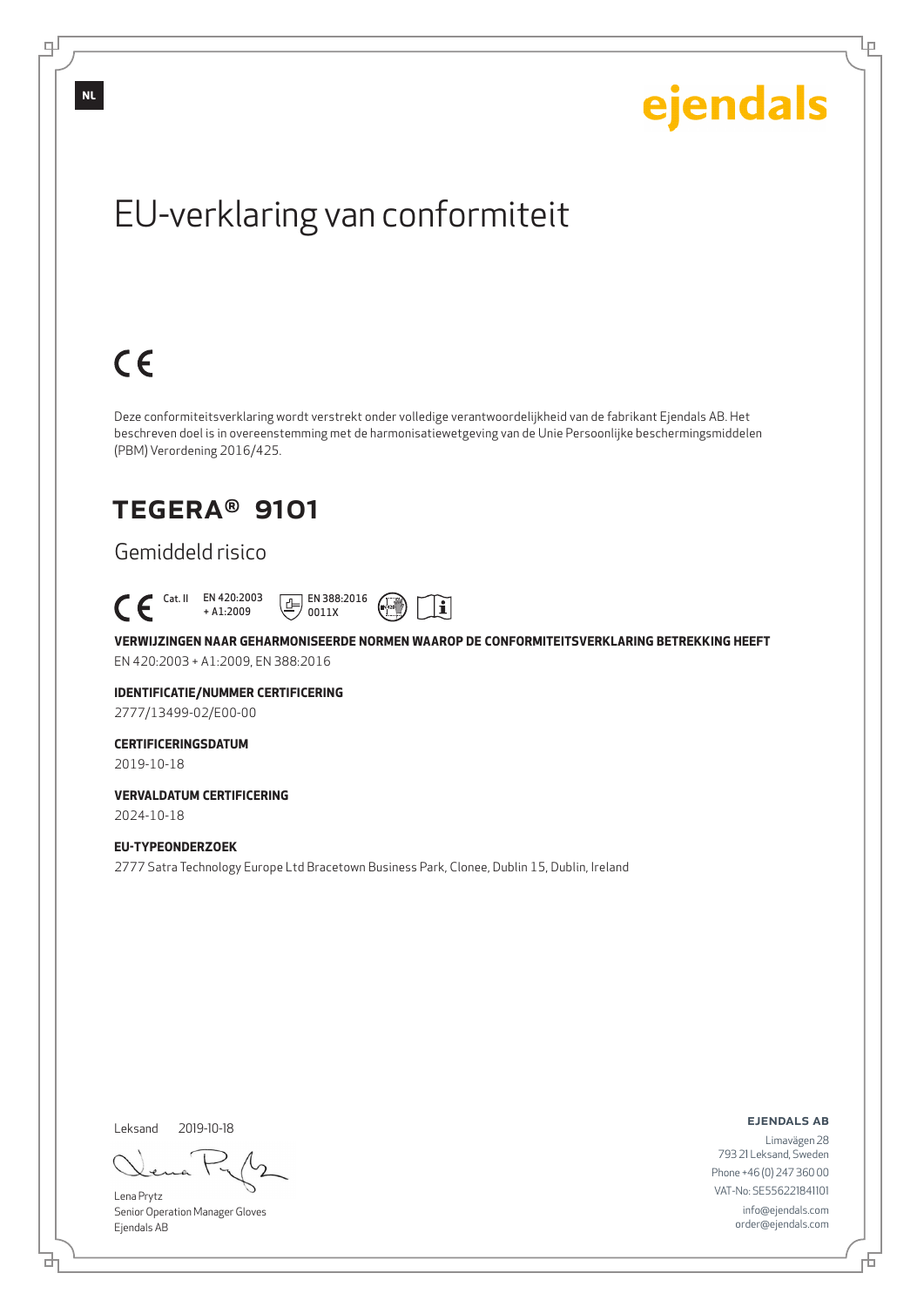Ļμ

# EU-verklaring van conformiteit

# $C \in$

Deze conformiteitsverklaring wordt verstrekt onder volledige verantwoordelijkheid van de fabrikant Ejendals AB. Het beschreven doel is in overeenstemming met de harmonisatiewetgeving van de Unie Persoonlijke beschermingsmiddelen (PBM) Verordening 2016/425.

## TEGERA® 9101

## Gemiddeld risico



**VERWIJZINGEN NAAR GEHARMONISEERDE NORMEN WAAROP DE CONFORMITEITSVERKLARING BETREKKING HEEFT** EN 420:2003 + A1:2009, EN 388:2016

 $\mathbf i$ 

**IDENTIFICATIE/NUMMER CERTIFICERING**

2777/13499-02/E00-00

### **CERTIFICERINGSDATUM**

2019-10-18

**VERVALDATUM CERTIFICERING** 2024-10-18

### **EU-TYPEONDERZOEK**

2777 Satra Technology Europe Ltd Bracetown Business Park, Clonee, Dublin 15, Dublin, Ireland

Leksand 2019-10-18

브

Lena Prytz Senior Operation Manager Gloves Ejendals AB

#### ejendals ab

Đ

Limavägen 28 793 21 Leksand, Sweden Phone +46 (0) 247 360 00 VAT-No: SE556221841101 info@ejendals.com order@ejendals.com

**NL**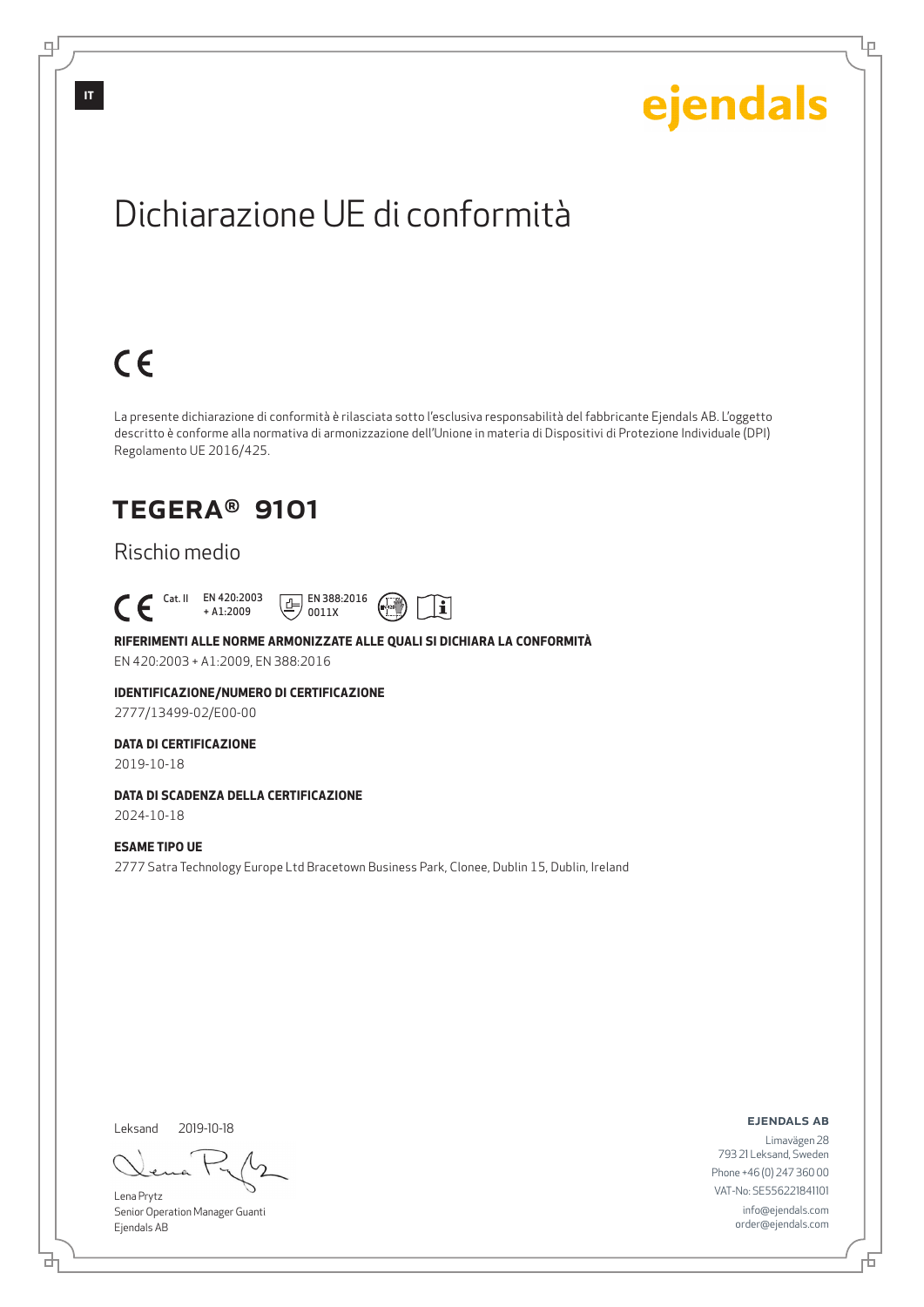Lρ

## Dichiarazione UE di conformità

## $C \in$

La presente dichiarazione di conformità è rilasciata sotto l'esclusiva responsabilità del fabbricante Ejendals AB. L'oggetto descritto è conforme alla normativa di armonizzazione dell'Unione in materia di Dispositivi di Protezione Individuale (DPI) Regolamento UE 2016/425.

## TEGERA® 9101

## Rischio medio

### Cat. II EN 420:2003 + A1:2009





### **RIFERIMENTI ALLE NORME ARMONIZZATE ALLE QUALI SI DICHIARA LA CONFORMITÀ**

EN 420:2003 + A1:2009, EN 388:2016

#### **IDENTIFICAZIONE/NUMERO DI CERTIFICAZIONE**

2777/13499-02/E00-00

#### **DATA DI CERTIFICAZIONE**

2019-10-18

### **DATA DI SCADENZA DELLA CERTIFICAZIONE**

2024-10-18

### **ESAME TIPO UE**

2777 Satra Technology Europe Ltd Bracetown Business Park, Clonee, Dublin 15, Dublin, Ireland

Leksand 2019-10-18

<u>다</u>

Lena Prytz Senior Operation Manager Guanti Ejendals AB

#### ejendals ab

Đ

Limavägen 28 793 21 Leksand, Sweden Phone +46 (0) 247 360 00 VAT-No: SE556221841101 info@ejendals.com order@ejendals.com

டி

**IT**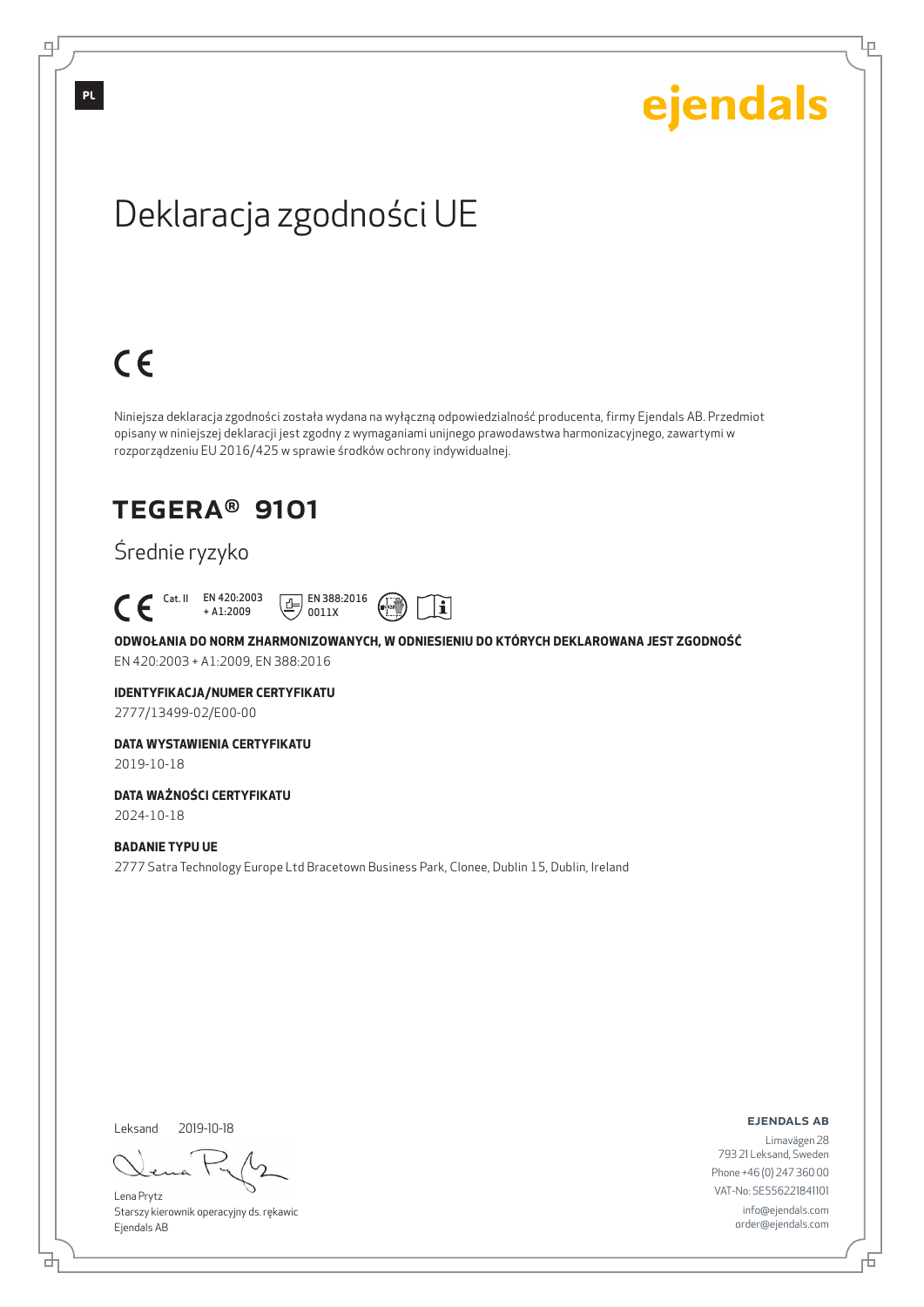Ļμ

## Deklaracja zgodności UE

# $C \in$

Niniejsza deklaracja zgodności została wydana na wyłączną odpowiedzialność producenta, firmy Ejendals AB. Przedmiot opisany w niniejszej deklaracji jest zgodny z wymaganiami unijnego prawodawstwa harmonizacyjnego, zawartymi w rozporządzeniu EU 2016/425 w sprawie środków ochrony indywidualnej.

## TEGERA® 9101

## Średnie ryzyko



**ODWOŁANIA DO NORM ZHARMONIZOWANYCH, W ODNIESIENIU DO KTÓRYCH DEKLAROWANA JEST ZGODNOŚĆ** EN 420:2003 + A1:2009, EN 388:2016

 $\mathbf i$ 

#### **IDENTYFIKACJA/NUMER CERTYFIKATU**

2777/13499-02/E00-00

### **DATA WYSTAWIENIA CERTYFIKATU**

2019-10-18

## **DATA WAŻNOŚCI CERTYFIKATU**

2024-10-18

### **BADANIE TYPU UE**

2777 Satra Technology Europe Ltd Bracetown Business Park, Clonee, Dublin 15, Dublin, Ireland

Leksand 2019-10-18

브

Lena Prytz Starszy kierownik operacyjny ds. rękawic Ejendals AB

#### ejendals ab

Limavägen 28 793 21 Leksand, Sweden Phone +46 (0) 247 360 00 VAT-No: SE556221841101 info@ejendals.com order@ejendals.com

டி

Б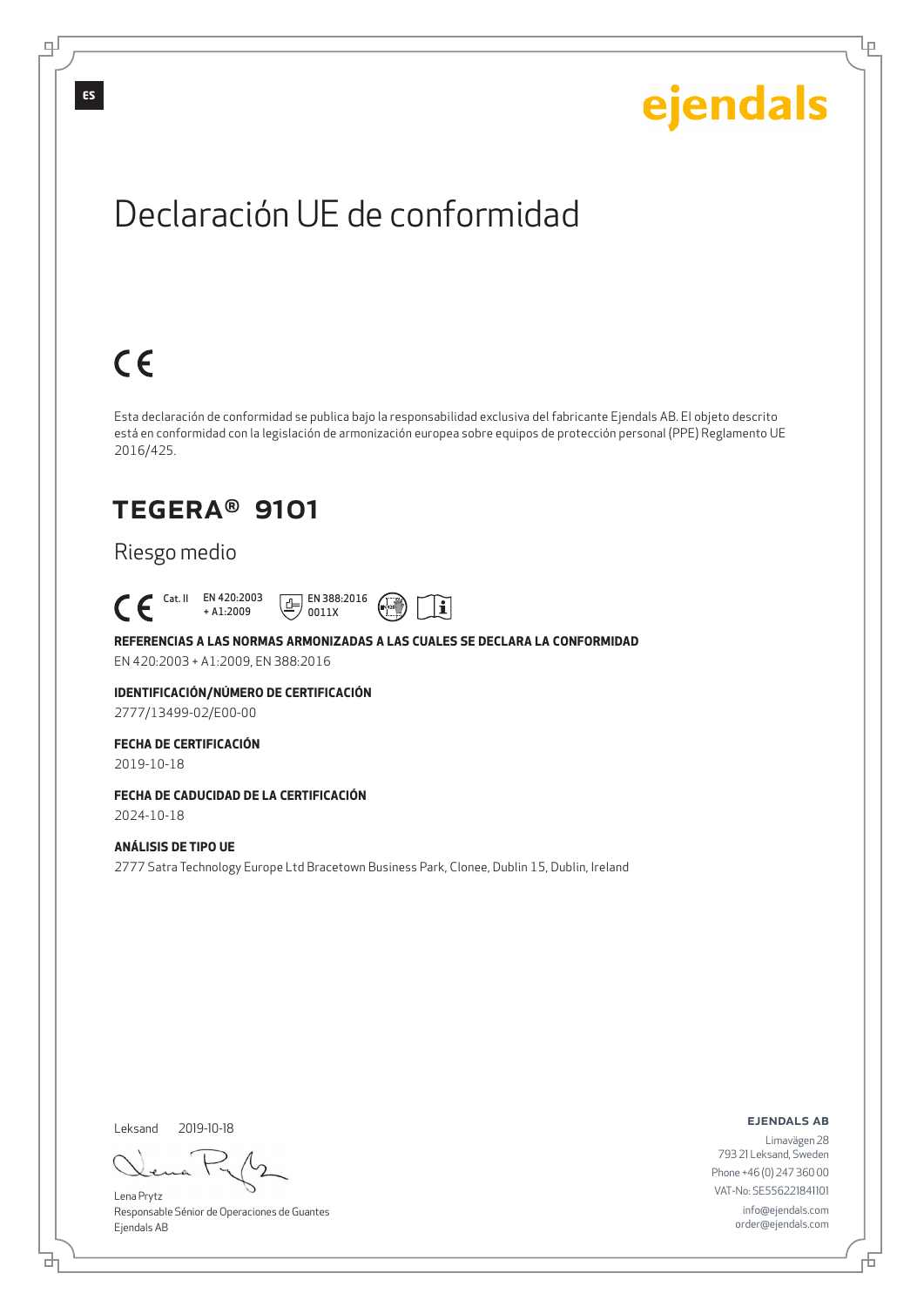Lρ

## Declaración UE de conformidad

# $C \in$

Esta declaración de conformidad se publica bajo la responsabilidad exclusiva del fabricante Ejendals AB. El objeto descrito está en conformidad con la legislación de armonización europea sobre equipos de protección personal (PPE) Reglamento UE 2016/425.

## TEGERA® 9101

## Riesgo medio





EN 420:2003 + A1:2009, EN 388:2016

#### **IDENTIFICACIÓN/NÚMERO DE CERTIFICACIÓN**

2777/13499-02/E00-00

### **FECHA DE CERTIFICACIÓN**

2019-10-18

## **FECHA DE CADUCIDAD DE LA CERTIFICACIÓN**

2024-10-18

### **ANÁLISIS DE TIPO UE**

2777 Satra Technology Europe Ltd Bracetown Business Park, Clonee, Dublin 15, Dublin, Ireland

Leksand 2019-10-18

<u>다</u>

Lena Prytz Responsable Sénior de Operaciones de Guantes Ejendals AB

ejendals ab

Đ

Limavägen 28 793 21 Leksand, Sweden Phone +46 (0) 247 360 00 VAT-No: SE556221841101 info@ejendals.com order@ejendals.com

டி

**ES**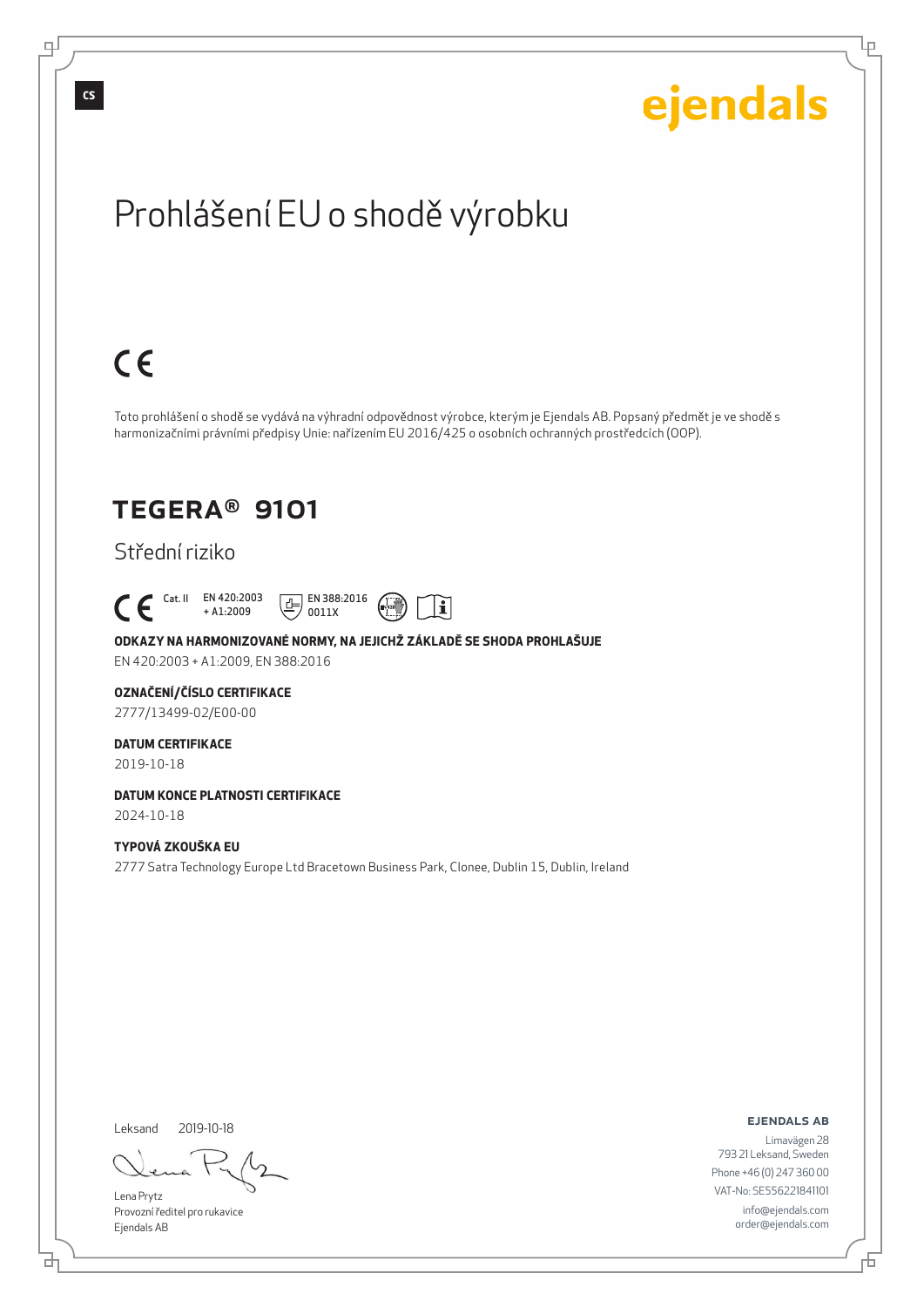# ejendals

Ļμ

## Prohlášení EU o shodě výrobku

# $C \in$

Toto prohlášení o shodě se vydává na výhradní odpovědnost výrobce, kterým je Ejendals AB. Popsaný předmět je ve shodě s harmonizačními právními předpisy Unie: nařízením EU 2016/425 o osobních ochranných prostředcích (OOP).

## TEGERA® 9101

## Střední riziko

 Cat. II EN 420:2003 + A1:2009





### **ODKAZY NA HARMONIZOVANÉ NORMY, NA JEJICHŽ ZÁKLADĚ SE SHODA PROHLAŠUJE**

EN 420:2003 + A1:2009, EN 388:2016

#### **OZNAČENÍ/ČÍSLO CERTIFIKACE**

2777/13499-02/E00-00

### **DATUM CERTIFIKACE**

2019-10-18

## **DATUM KONCE PLATNOSTI CERTIFIKACE**

2024-10-18

### **TYPOVÁ ZKOUŠKA EU**

2777 Satra Technology Europe Ltd Bracetown Business Park, Clonee, Dublin 15, Dublin, Ireland

Leksand 2019-10-18

Lena Prytz Provozní ředitel pro rukavice Ejendals AB

ejendals ab

Limavägen 28 793 21 Leksand, Sweden Phone +46 (0) 247 360 00 VAT-No: SE556221841101 info@ejendals.com order@ejendals.com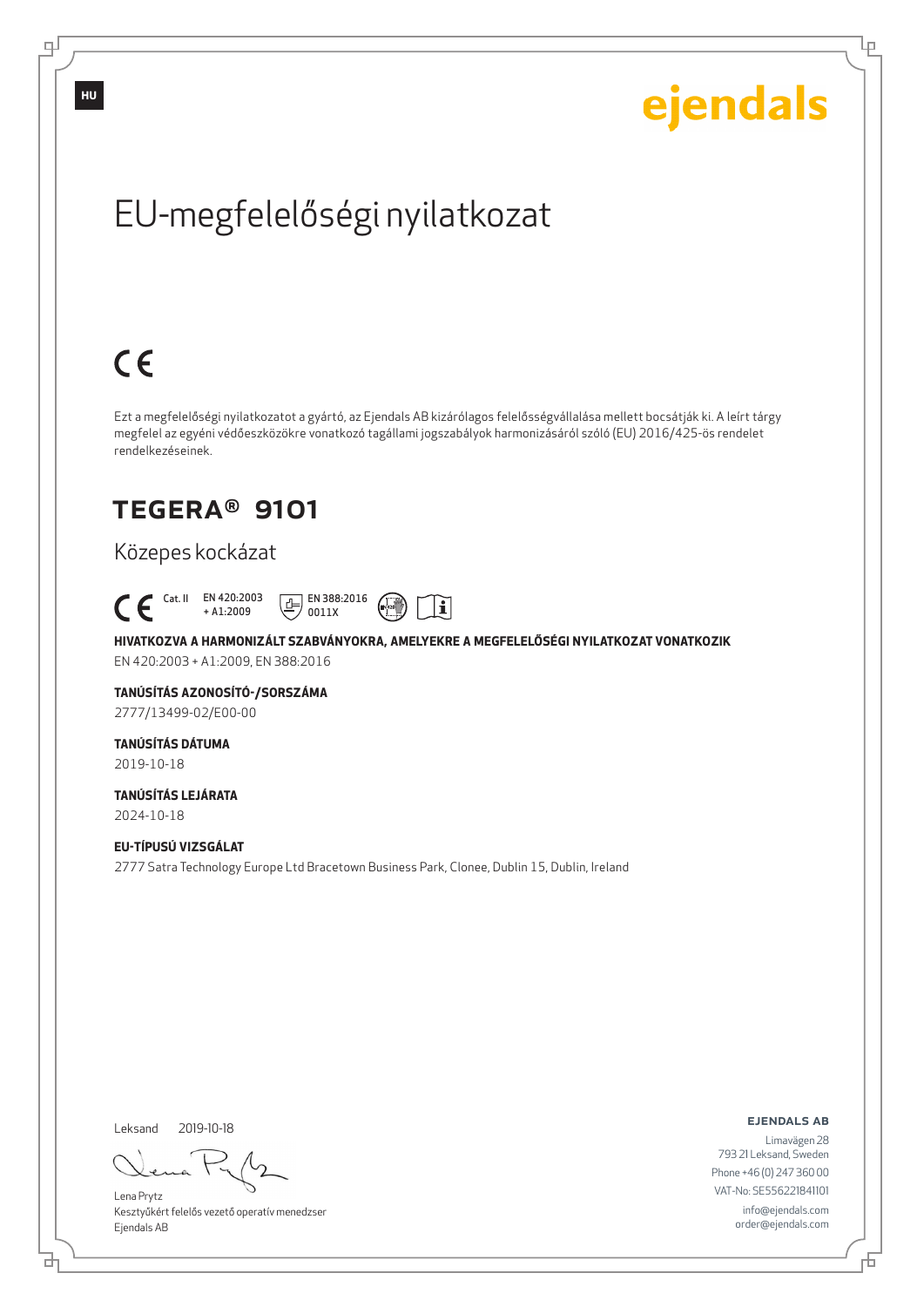Ļμ

# EU-megfelelőségi nyilatkozat

# $C \in$

Ezt a megfelelőségi nyilatkozatot a gyártó, az Ejendals AB kizárólagos felelősségvállalása mellett bocsátják ki. A leírt tárgy megfelel az egyéni védőeszközökre vonatkozó tagállami jogszabályok harmonizásáról szóló (EU) 2016/425-ös rendelet rendelkezéseinek.

## TEGERA® 9101

## Közepes kockázat



### **HIVATKOZVA A HARMONIZÁLT SZABVÁNYOKRA, AMELYEKRE A MEGFELELŐSÉGI NYILATKOZAT VONATKOZIK** EN 420:2003 + A1:2009, EN 388:2016

 $\mathbf i$ 

**TANÚSÍTÁS AZONOSÍTÓ-/SORSZÁMA** 2777/13499-02/E00-00

## **TANÚSÍTÁS DÁTUMA**

2019-10-18

**TANÚSÍTÁS LEJÁRATA** 2024-10-18

### **EU-TÍPUSÚ VIZSGÁLAT**

2777 Satra Technology Europe Ltd Bracetown Business Park, Clonee, Dublin 15, Dublin, Ireland

Leksand 2019-10-18

브

Lena Prytz Kesztyűkért felelős vezető operatív menedzser Ejendals AB

ejendals ab

Б

Limavägen 28 793 21 Leksand, Sweden Phone +46 (0) 247 360 00 VAT-No: SE556221841101 info@ejendals.com order@ejendals.com

டி

**HU**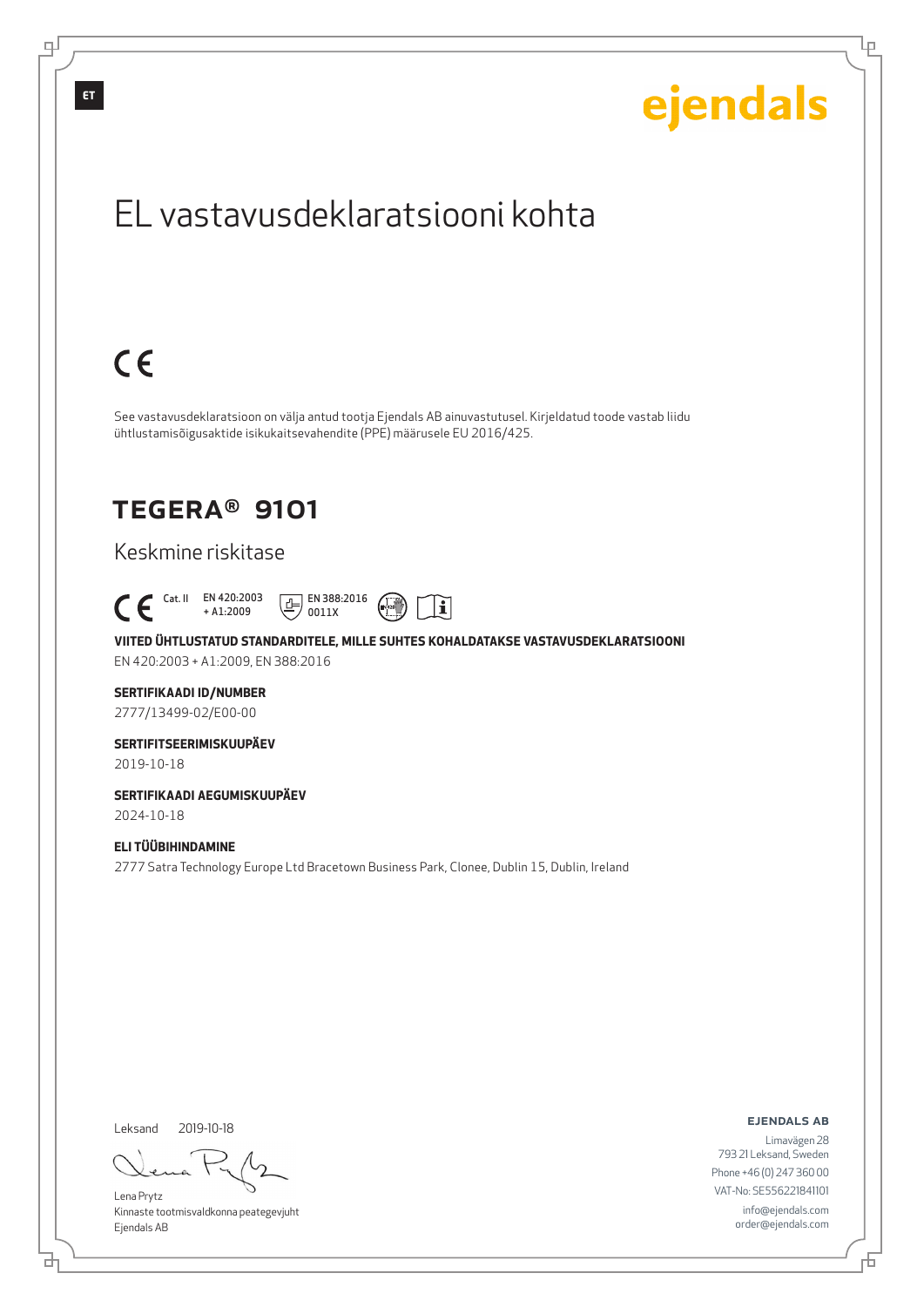Lρ

## EL vastavusdeklaratsiooni kohta

## $C \in$

See vastavusdeklaratsioon on välja antud tootja Ejendals AB ainuvastutusel. Kirjeldatud toode vastab liidu ühtlustamisõigusaktide isikukaitsevahendite (PPE) määrusele EU 2016/425.

## TEGERA® 9101

## Keskmine riskitase

 Cat. II EN 420:2003 + A1:2009  $E$  EN 388:2016 0011X



 $\mathbf i$ 

EN 420:2003 + A1:2009, EN 388:2016

### **SERTIFIKAADI ID/NUMBER**

2777/13499-02/E00-00

### **SERTIFITSEERIMISKUUPÄEV**

2019-10-18

### **SERTIFIKAADI AEGUMISKUUPÄEV** 2024-10-18

**ELI TÜÜBIHINDAMINE**

2777 Satra Technology Europe Ltd Bracetown Business Park, Clonee, Dublin 15, Dublin, Ireland

Leksand 2019-10-18

<u>다</u>

Lena Prytz Kinnaste tootmisvaldkonna peategevjuht Ejendals AB

ejendals ab

Limavägen 28 793 21 Leksand, Sweden Phone +46 (0) 247 360 00 VAT-No: SE556221841101 info@ejendals.com order@ejendals.com

டி

**ET**

Đ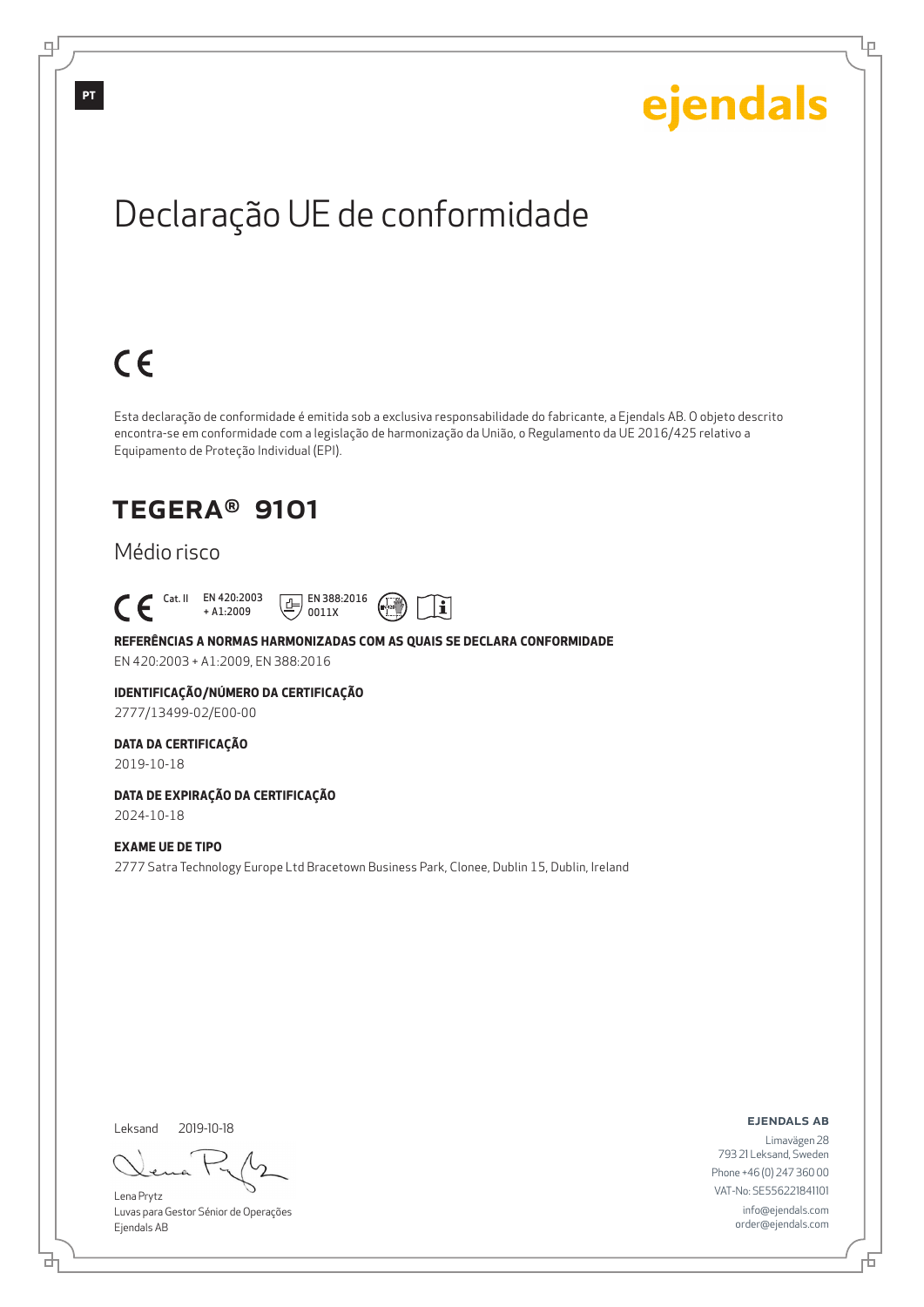Ļμ

## Declaração UE de conformidade

# $C \in$

Esta declaração de conformidade é emitida sob a exclusiva responsabilidade do fabricante, a Ejendals AB. O objeto descrito encontra-se em conformidade com a legislação de harmonização da União, o Regulamento da UE 2016/425 relativo a Equipamento de Proteção Individual (EPI).

## TEGERA® 9101

## Médio risco

### Cat. II EN 420:2003 + A1:2009





#### **REFERÊNCIAS A NORMAS HARMONIZADAS COM AS QUAIS SE DECLARA CONFORMIDADE**

EN 420:2003 + A1:2009, EN 388:2016

### **IDENTIFICAÇÃO/NÚMERO DA CERTIFICAÇÃO**

2777/13499-02/E00-00

### **DATA DA CERTIFICAÇÃO**

2019-10-18

#### **DATA DE EXPIRAÇÃO DA CERTIFICAÇÃO** 2024-10-18

### **EXAME UE DE TIPO**

2777 Satra Technology Europe Ltd Bracetown Business Park, Clonee, Dublin 15, Dublin, Ireland

Leksand 2019-10-18

브

Lena Prytz Luvas para Gestor Sénior de Operações Ejendals AB

ejendals ab

Б

Limavägen 28 793 21 Leksand, Sweden Phone +46 (0) 247 360 00 VAT-No: SE556221841101 info@ejendals.com order@ejendals.com

டி

**PT**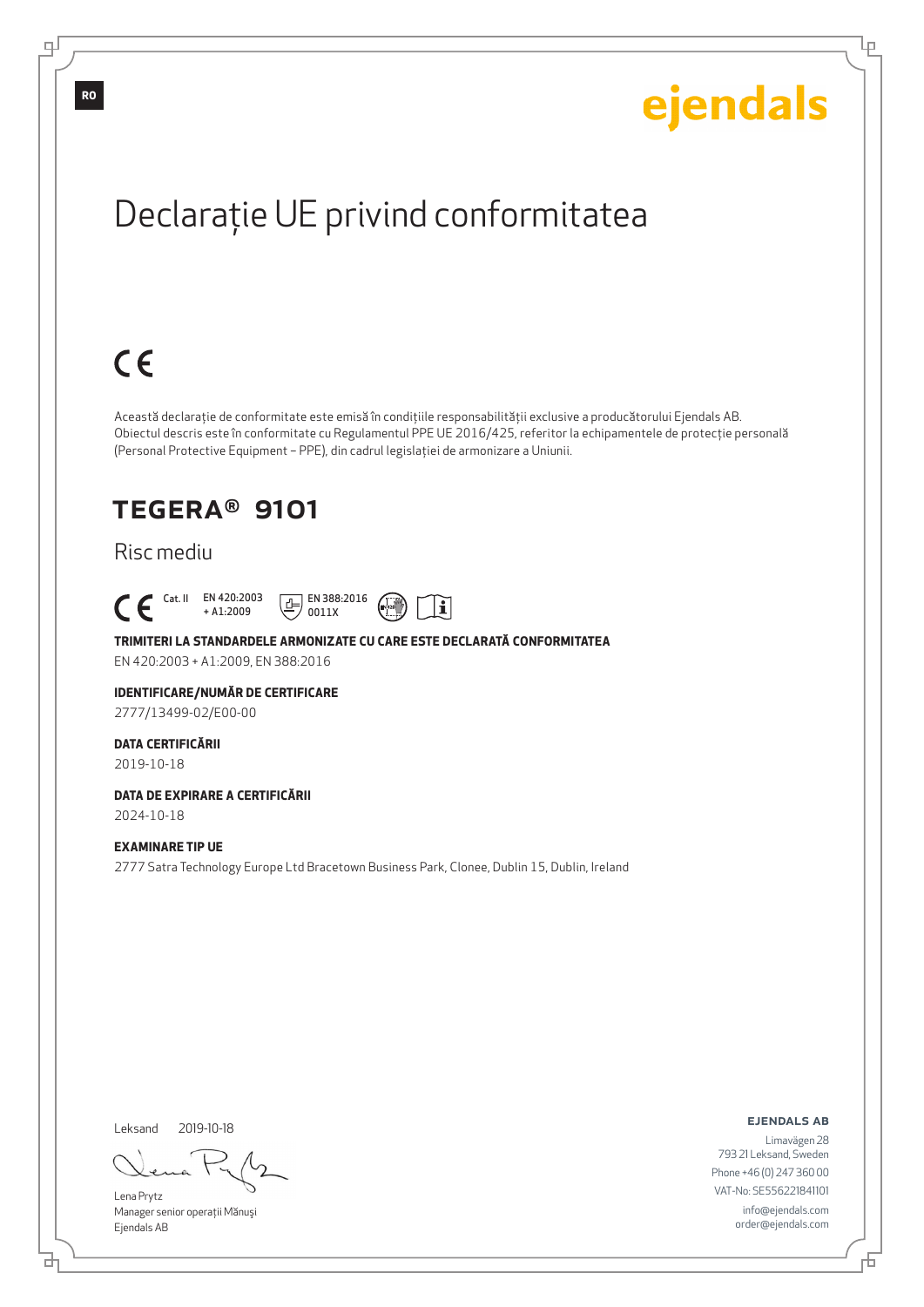Ļμ

## Declaraţie UE privind conformitatea

## $C \in$

Această declaraţie de conformitate este emisă în condiţiile responsabilităţii exclusive a producătorului Ejendals AB. Obiectul descris este în conformitate cu Regulamentul PPE UE 2016/425, referitor la echipamentele de protecţie personală (Personal Protective Equipment – PPE), din cadrul legislaţiei de armonizare a Uniunii.

## TEGERA® 9101

## Risc mediu





#### **TRIMITERI LA STANDARDELE ARMONIZATE CU CARE ESTE DECLARATĂ CONFORMITATEA**

0011X

EN 420:2003 + A1:2009, EN 388:2016

#### **IDENTIFICARE/NUMĂR DE CERTIFICARE**

2777/13499-02/E00-00

#### **DATA CERTIFICĂRII**

2019-10-18

#### **DATA DE EXPIRARE A CERTIFICĂRII** 2024-10-18

### **EXAMINARE TIP UE**

2777 Satra Technology Europe Ltd Bracetown Business Park, Clonee, Dublin 15, Dublin, Ireland

Leksand 2019-10-18

브

Lena Prytz Manager senior operaţii Mănuşi Ejendals AB

ejendals ab

Б

Limavägen 28 793 21 Leksand, Sweden Phone +46 (0) 247 360 00 VAT-No: SE556221841101 info@ejendals.com order@ejendals.com

டி

**RO**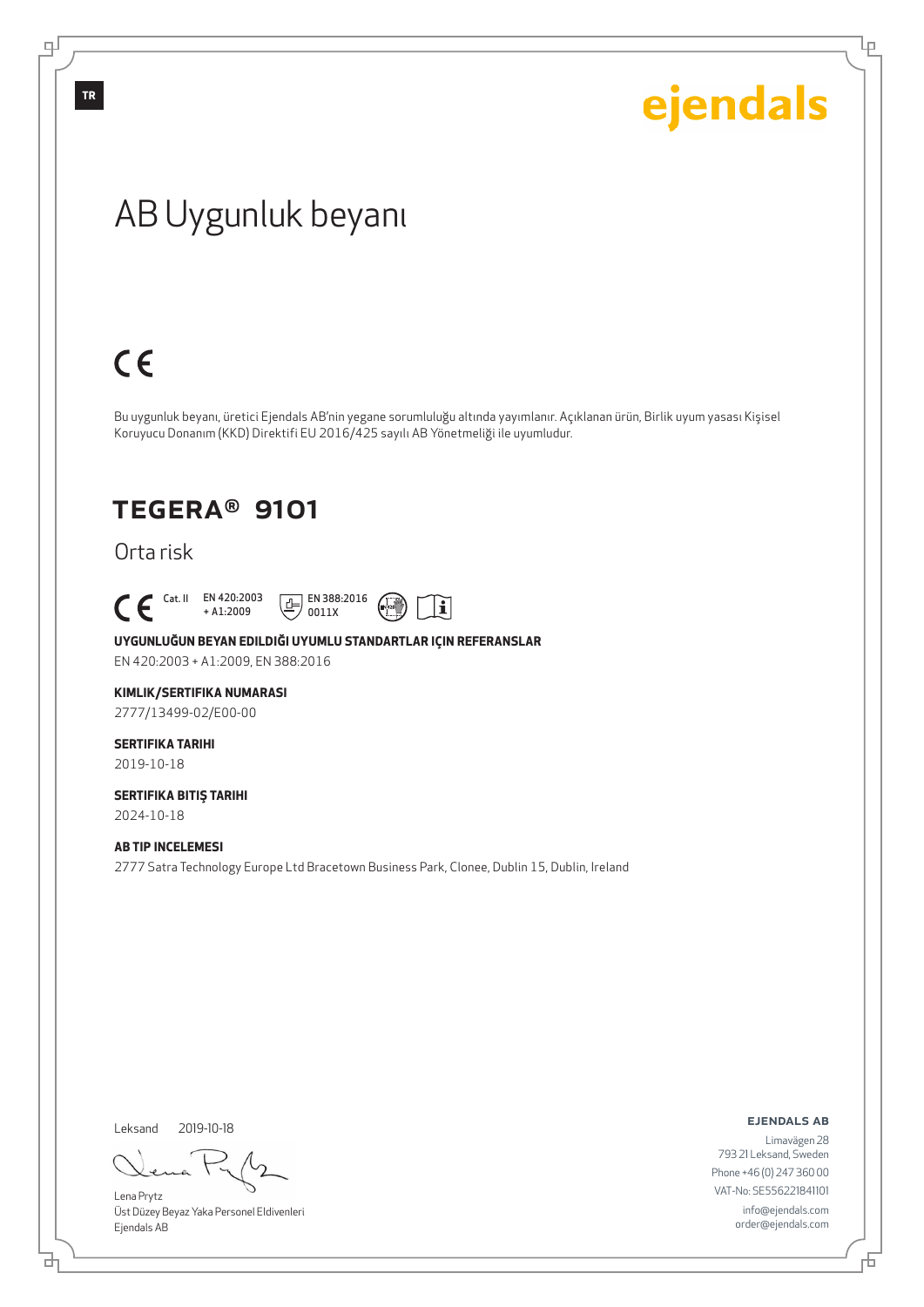Ļμ

## AB Uygunluk beyanı

## $C \in$

Bu uygunluk beyanı, üretici Ejendals AB'nin yegane sorumluluğu altında yayımlanır. Açıklanan ürün, Birlik uyum yasası Kişisel Koruyucu Donanım (KKD) Direktifi EU 2016/425 sayılı AB Yönetmeliği ile uyumludur.

## TEGERA® 9101

Orta risk

 Cat. II EN 420:2003 + A1:2009





#### **UYGUNLUĞUN BEYAN EDILDIĞI UYUMLU STANDARTLAR IÇIN REFERANSLAR**

EN 420:2003 + A1:2009, EN 388:2016

#### **KIMLIK/SERTIFIKA NUMARASI**

2777/13499-02/E00-00

#### **SERTIFIKA TARIHI** 2019-10-18

#### **SERTIFIKA BITIŞ TARIHI** 2024-10-18

### **AB TIP INCELEMESI**

2777 Satra Technology Europe Ltd Bracetown Business Park, Clonee, Dublin 15, Dublin, Ireland

Leksand 2019-10-18

đ

Lena Prytz Üst Düzey Beyaz Yaka Personel Eldivenleri Ejendals AB

ejendals ab

Limavägen 28 793 21 Leksand, Sweden Phone +46 (0) 247 360 00 VAT-No: SE556221841101 info@ejendals.com order@ejendals.com

டி

**TR**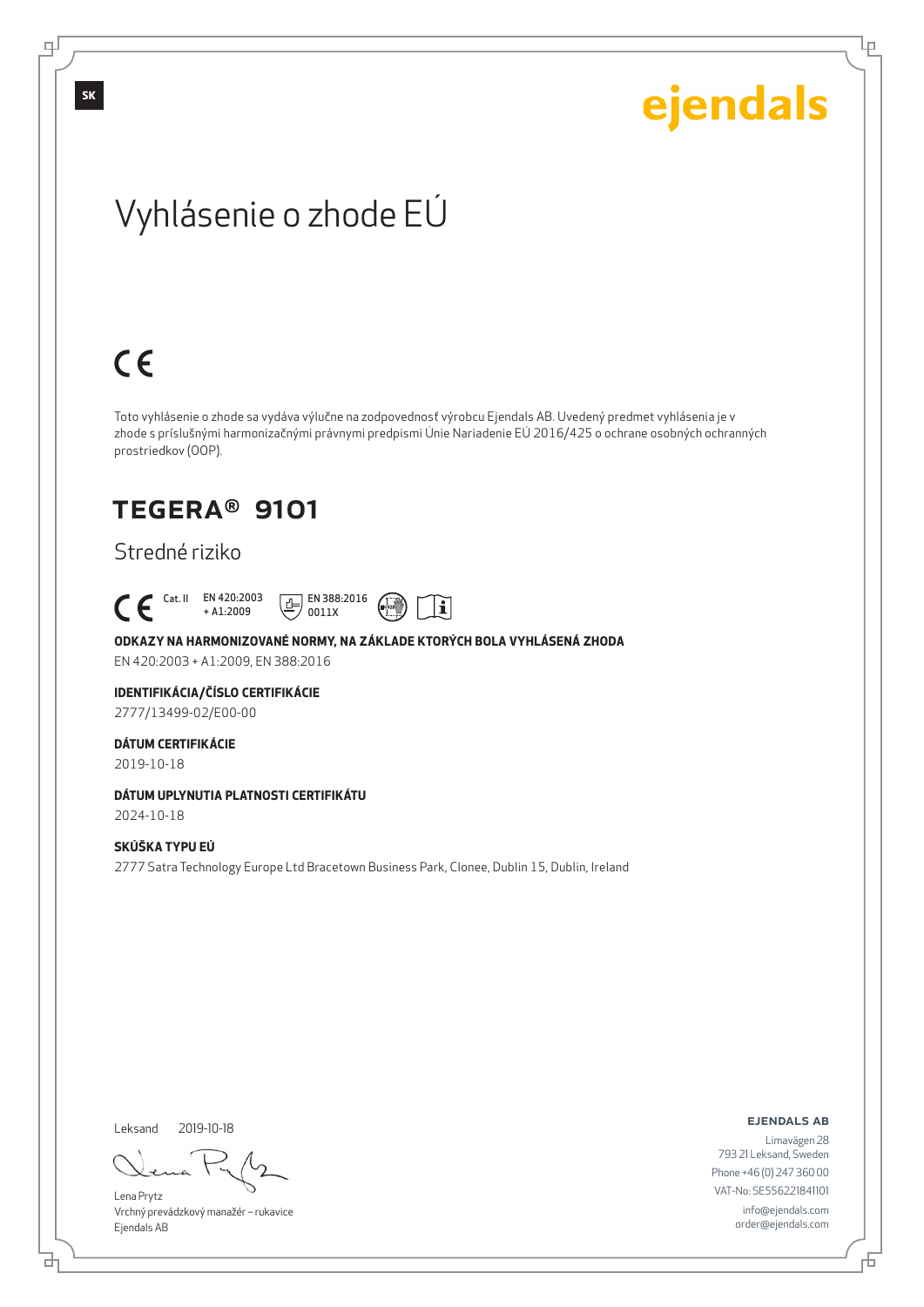Lρ

## Vyhlásenie o zhode EÚ

## $C \in$

Toto vyhlásenie o zhode sa vydáva výlučne na zodpovednosť výrobcu Ejendals AB. Uvedený predmet vyhlásenia je v zhode s príslušnými harmonizačnými právnymi predpismi Únie Nariadenie EÚ 2016/425 o ochrane osobných ochranných prostriedkov (OOP).

## TEGERA® 9101

## Stredné riziko





#### **ODKAZY NA HARMONIZOVANÉ NORMY, NA ZÁKLADE KTORÝCH BOLA VYHLÁSENÁ ZHODA**

EN 420:2003 + A1:2009, EN 388:2016

#### **IDENTIFIKÁCIA/ČÍSLO CERTIFIKÁCIE**

2777/13499-02/E00-00

#### **DÁTUM CERTIFIKÁCIE**

2019-10-18

### **DÁTUM UPLYNUTIA PLATNOSTI CERTIFIKÁTU**

2024-10-18

### **SKÚŠKA TYPU EÚ**

2777 Satra Technology Europe Ltd Bracetown Business Park, Clonee, Dublin 15, Dublin, Ireland

Leksand 2019-10-18

<u>다</u>

Lena Prytz Vrchný prevádzkový manažér – rukavice Ejendals AB

#### ejendals ab

Đ

Limavägen 28 793 21 Leksand, Sweden Phone +46 (0) 247 360 00 VAT-No: SE556221841101 info@ejendals.com order@ejendals.com

டி

**SK**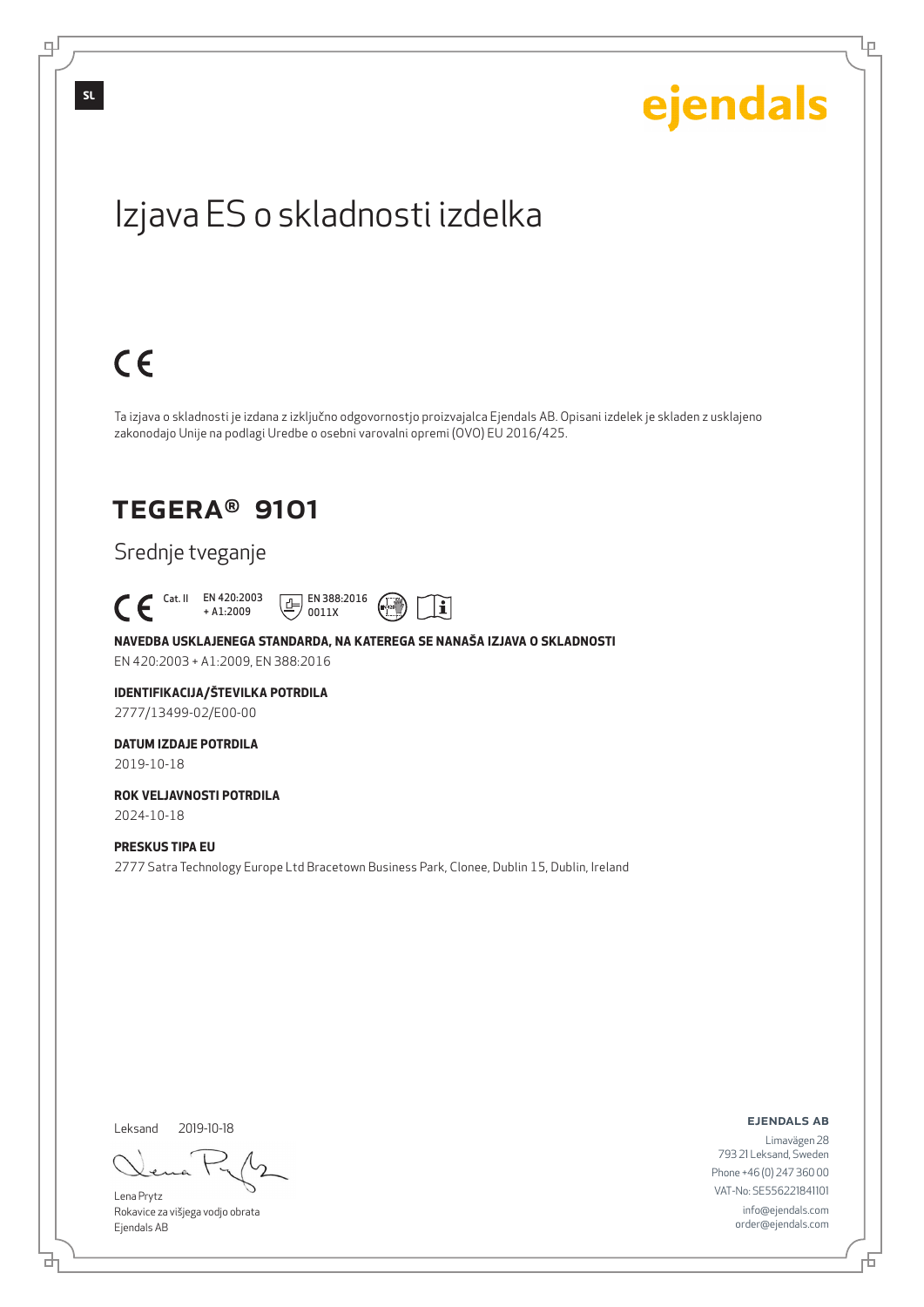Lρ

## Izjava ES o skladnosti izdelka

# $C \in$

Ta izjava o skladnosti je izdana z izključno odgovornostjo proizvajalca Ejendals AB. Opisani izdelek je skladen z usklajeno zakonodajo Unije na podlagi Uredbe o osebni varovalni opremi (OVO) EU 2016/425.

## TEGERA® 9101

## Srednje tveganje

 Cat. II EN 420:2003 + A1:2009



### **NAVEDBA USKLAJENEGA STANDARDA, NA KATEREGA SE NANAŠA IZJAVA O SKLADNOSTI**

0011X

EN 420:2003 + A1:2009, EN 388:2016

## **IDENTIFIKACIJA/ŠTEVILKA POTRDILA**

2777/13499-02/E00-00

## **DATUM IZDAJE POTRDILA**

2019-10-18

### **ROK VELJAVNOSTI POTRDILA** 2024-10-18

### **PRESKUS TIPA EU**

2777 Satra Technology Europe Ltd Bracetown Business Park, Clonee, Dublin 15, Dublin, Ireland

Leksand 2019-10-18

<u>다</u>

Lena Prytz Rokavice za višjega vodjo obrata Ejendals AB

#### ejendals ab

Đ

Limavägen 28 793 21 Leksand, Sweden Phone +46 (0) 247 360 00 VAT-No: SE556221841101 info@ejendals.com order@ejendals.com

டி

**SL**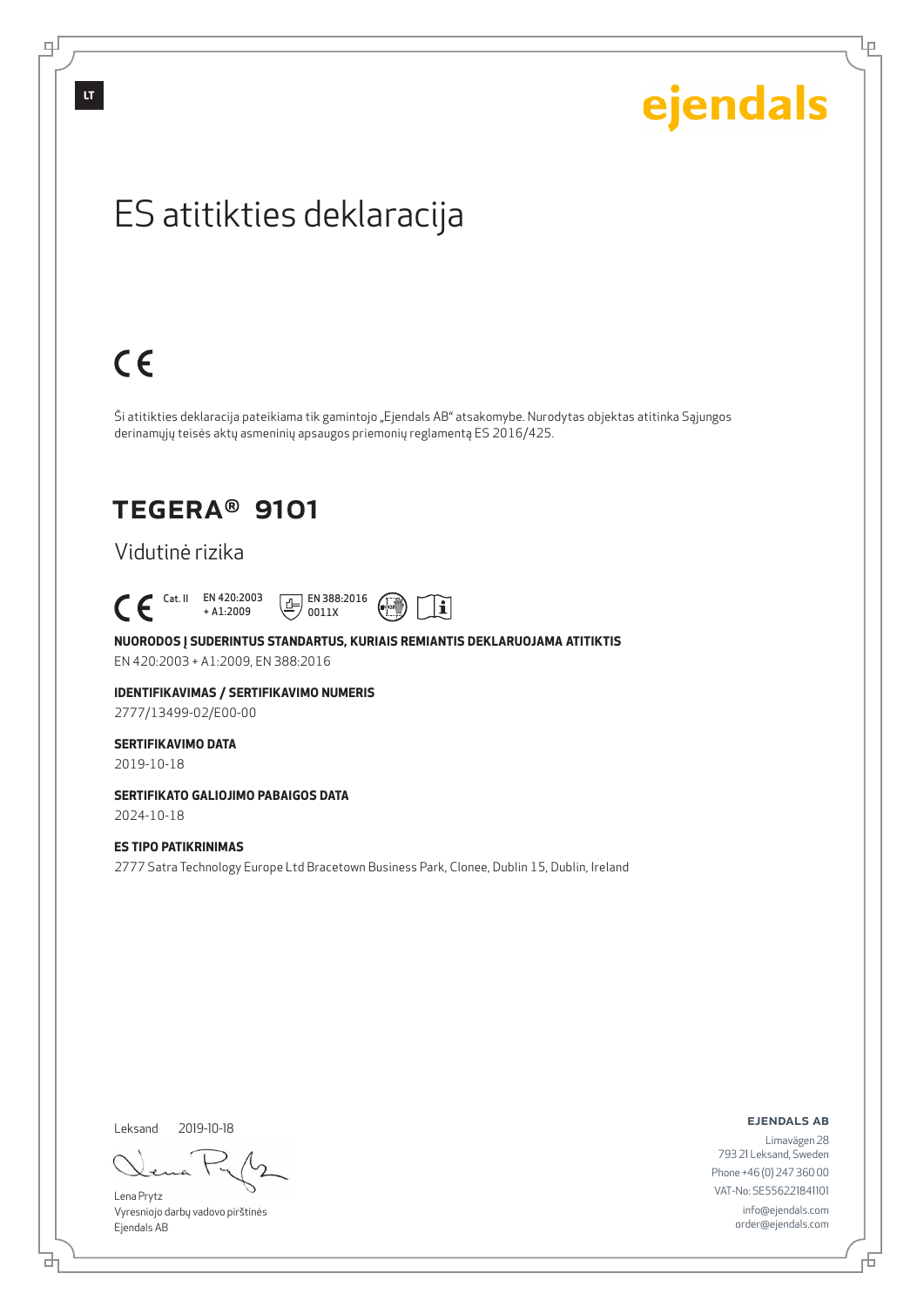# ejendals

Lρ

## ES atitikties deklaracija

## $C \in$

Ši atitikties deklaracija pateikiama tik gamintojo "Ejendals AB" atsakomybe. Nurodytas objektas atitinka Sąjungos derinamųjų teisės aktų asmeninių apsaugos priemonių reglamentą ES 2016/425.

## TEGERA® 9101

### Vidutinė rizika

### Cat. II EN 420:2003 + A1:2009





### **NUORODOS Į SUDERINTUS STANDARTUS, KURIAIS REMIANTIS DEKLARUOJAMA ATITIKTIS**

EN 420:2003 + A1:2009, EN 388:2016

#### **IDENTIFIKAVIMAS / SERTIFIKAVIMO NUMERIS**

2777/13499-02/E00-00

### **SERTIFIKAVIMO DATA**

2019-10-18

### **SERTIFIKATO GALIOJIMO PABAIGOS DATA**

2024-10-18

### **ES TIPO PATIKRINIMAS**

2777 Satra Technology Europe Ltd Bracetown Business Park, Clonee, Dublin 15, Dublin, Ireland

Leksand 2019-10-18

<u>다</u>

Lena Prytz Vyresniojo darbų vadovo pirštinės Ejendals AB

ejendals ab

Limavägen 28 793 21 Leksand, Sweden Phone +46 (0) 247 360 00 VAT-No: SE556221841101 info@ejendals.com order@ejendals.com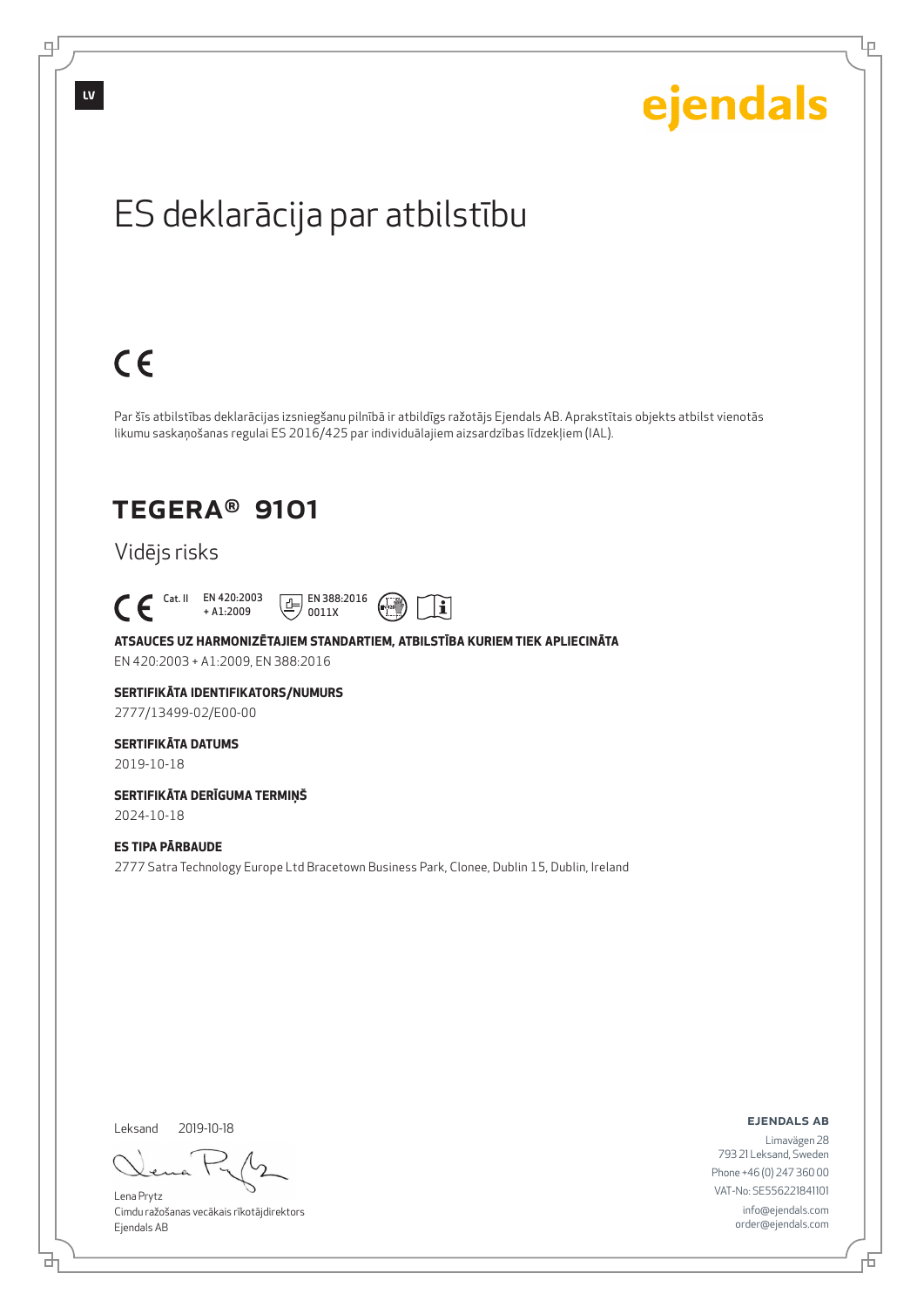# ejendals

Lρ

## ES deklarācija par atbilstību

# $C \in$

Par šīs atbilstības deklarācijas izsniegšanu pilnībā ir atbildīgs ražotājs Ejendals AB. Aprakstītais objekts atbilst vienotās likumu saskaņošanas regulai ES 2016/425 par individuālajiem aizsardzības līdzekļiem (IAL).

## TEGERA® 9101

## Vidējs risks

### Cat. II EN 420:2003 + A1:2009





### **ATSAUCES UZ HARMONIZĒTAJIEM STANDARTIEM, ATBILSTĪBA KURIEM TIEK APLIECINĀTA**

EN 420:2003 + A1:2009, EN 388:2016

### **SERTIFIKĀTA IDENTIFIKATORS/NUMURS**

2777/13499-02/E00-00

## **SERTIFIKĀTA DATUMS**

2019-10-18

#### **SERTIFIKĀTA DERĪGUMA TERMIŅŠ** 2024-10-18

### **ES TIPA PĀRBAUDE**

2777 Satra Technology Europe Ltd Bracetown Business Park, Clonee, Dublin 15, Dublin, Ireland

Leksand 2019-10-18

Lena Prytz Cimdu ražošanas vecākais rīkotājdirektors Ejendals AB

ejendals ab

Limavägen 28 793 21 Leksand, Sweden Phone +46 (0) 247 360 00 VAT-No: SE556221841101 info@ejendals.com order@ejendals.com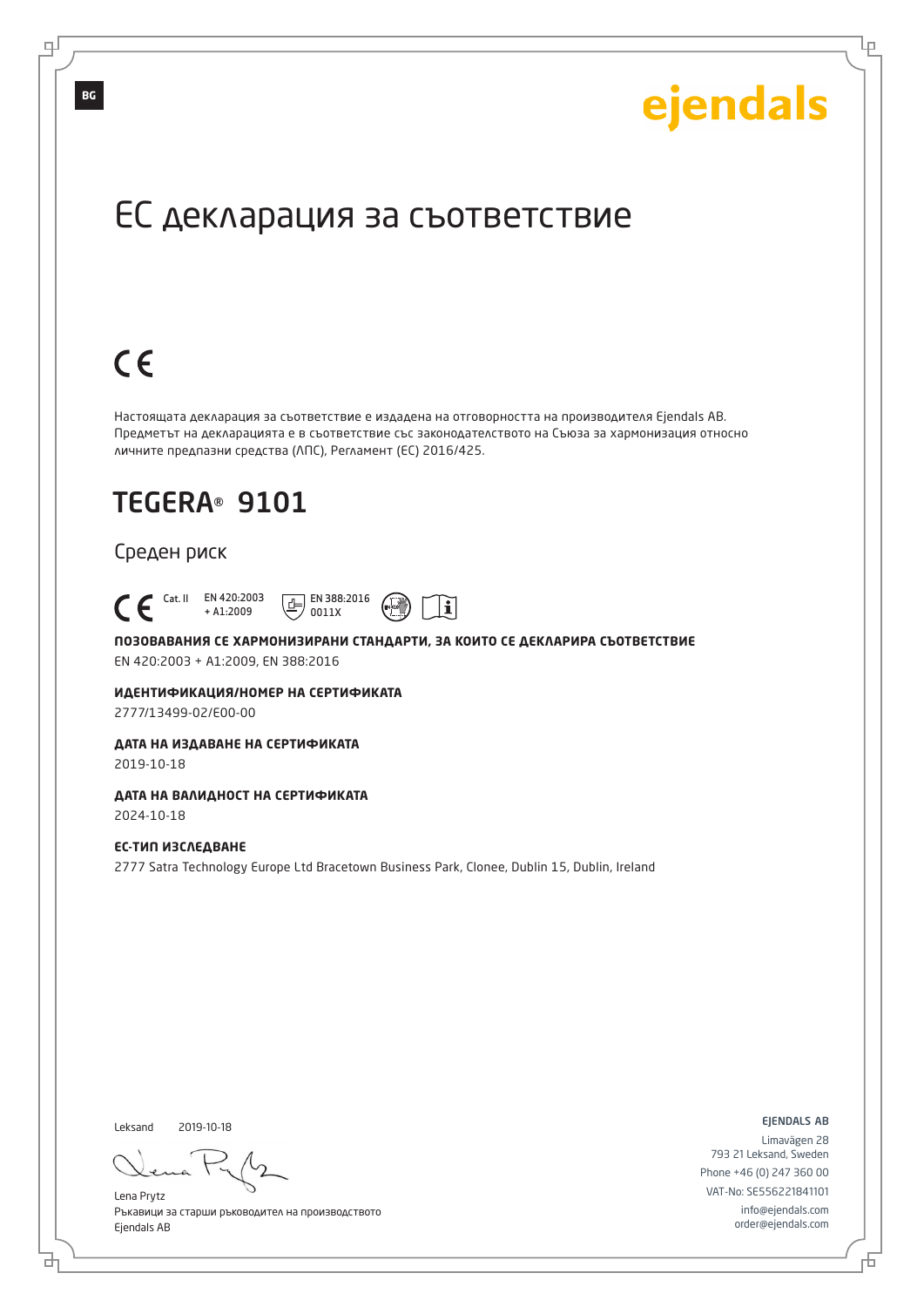Lр

## ЕС декларация за съответствие

## $C \in$

Настоящата декларация за съответствие е издадена на отговорността на производителя Ejendals AB. Предметът на декларацията е в съответствие със законодателството на Съюза за хармонизация относно личните предпазни средства (ЛПС), Регламент (ЕС) 2016/425.

## TEGERA® 9101

### Среден риск

#### Cat. II EN 420:2003 + A1:2009  $\boxed{E}$  EN 388:2016 0011X

## **ПОЗОВАВАНИЯ СЕ ХАРМОНИЗИРАНИ СТАНДАРТИ, ЗА КОИТО СЕ ДЕКЛАРИРА СЪОТВЕТСТВИЕ**

 $\mathbf i$ 

EN 420:2003 + A1:2009, EN 388:2016

#### **ИДЕНТИФИКАЦИЯ/НОМЕР НА СЕРТИФИКАТА**

2777/13499-02/E00-00

## **ДАТА НА ИЗДАВАНЕ НА СЕРТИФИКАТА**

2019-10-18

## **ДАТА НА ВАЛИДНОСТ НА СЕРТИФИКАТА**

2024-10-18

### **ЕС-ТИП ИЗСЛЕДВАНЕ**

2777 Satra Technology Europe Ltd Bracetown Business Park, Clonee, Dublin 15, Dublin, Ireland

Leksand 2019-10-18

브

Lena Prytz Ръкавици за старши ръководител на производството Ejendals AB

ejendals ab

Đ

Limavägen 28 793 21 Leksand, Sweden Phone +46 (0) 247 360 00 VAT-No: SE556221841101 info@ejendals.com order@ejendals.com

**BG**